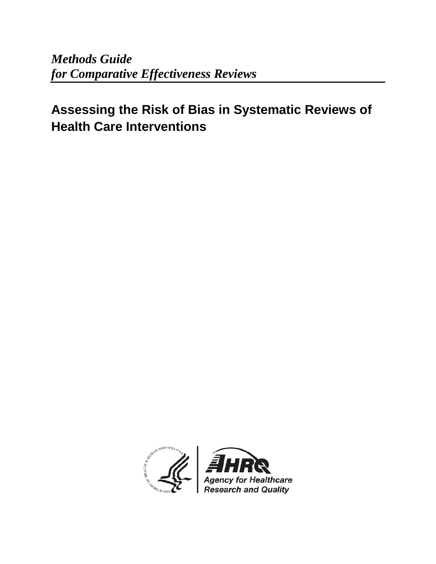*Methods Guide for Comparative Effectiveness Reviews*

# **Assessing the Risk of Bias in Systematic Reviews of Health Care Interventions**

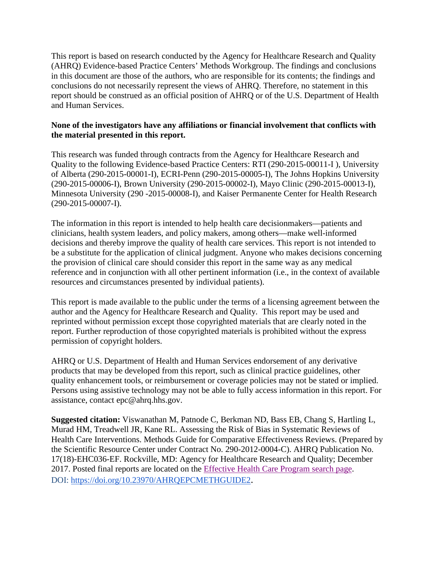This report is based on research conducted by the Agency for Healthcare Research and Quality (AHRQ) Evidence-based Practice Centers' Methods Workgroup. The findings and conclusions in this document are those of the authors, who are responsible for its contents; the findings and conclusions do not necessarily represent the views of AHRQ. Therefore, no statement in this report should be construed as an official position of AHRQ or of the U.S. Department of Health and Human Services.

#### **None of the investigators have any affiliations or financial involvement that conflicts with the material presented in this report.**

This research was funded through contracts from the Agency for Healthcare Research and Quality to the following Evidence-based Practice Centers: RTI (290-2015-00011-I ), University of Alberta (290-2015-00001-I), ECRI-Penn (290-2015-00005-I), The Johns Hopkins University (290-2015-00006-I), Brown University (290-2015-00002-I), Mayo Clinic (290-2015-00013-I), Minnesota University (290 -2015-00008-I), and Kaiser Permanente Center for Health Research (290-2015-00007-I).

The information in this report is intended to help health care decisionmakers—patients and clinicians, health system leaders, and policy makers, among others—make well-informed decisions and thereby improve the quality of health care services. This report is not intended to be a substitute for the application of clinical judgment. Anyone who makes decisions concerning the provision of clinical care should consider this report in the same way as any medical reference and in conjunction with all other pertinent information (i.e., in the context of available resources and circumstances presented by individual patients).

This report is made available to the public under the terms of a licensing agreement between the author and the Agency for Healthcare Research and Quality. This report may be used and reprinted without permission except those copyrighted materials that are clearly noted in the report. Further reproduction of those copyrighted materials is prohibited without the express permission of copyright holders.

AHRQ or U.S. Department of Health and Human Services endorsement of any derivative products that may be developed from this report, such as clinical practice guidelines, other quality enhancement tools, or reimbursement or coverage policies may not be stated or implied. Persons using assistive technology may not be able to fully access information in this report. For assistance, contact epc@ahrq.hhs.gov.

**Suggested citation:** Viswanathan M, Patnode C, Berkman ND, Bass EB, Chang S, Hartling L, Murad HM, Treadwell JR, Kane RL. Assessing the Risk of Bias in Systematic Reviews of Health Care Interventions. Methods Guide for Comparative Effectiveness Reviews. (Prepared by the Scientific Resource Center under Contract No. 290-2012-0004-C). AHRQ Publication No. 17(18)-EHC036-EF. Rockville, MD: Agency for Healthcare Research and Quality; December 2017. Posted final reports are located on the [Effective Health Care Program search page.](https://effectivehealthcare.ahrq.gov/search?f%5B0%5D=field_product_type%3Aresearch_report&f%5B1%5D=field_product_type%3Asystematic_review&f%5B2%5D=field_product_type%3Atechnical_brief&f%5B3%5D=field_product_type%3Awhite_paper&f%5B4%5D=field_product_type%3Amethods_guide_chapter&sort_by=field_product_pub_date) DOI: [https://doi.org/10.23970/AHRQEPCMETHGUIDE2.](https://doi.org/10.23970/AHRQEPCMETHGUIDE2)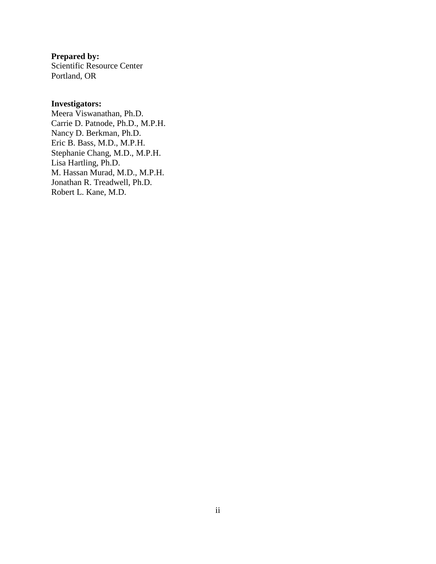**Prepared by:**

Scientific Resource Center Portland, OR

#### **Investigators:**

Meera Viswanathan, Ph.D. Carrie D. Patnode, Ph.D., M.P.H. Nancy D. Berkman, Ph.D. Eric B. Bass, M.D., M.P.H. Stephanie Chang, M.D., M.P.H. Lisa Hartling, Ph.D. M. Hassan Murad, M.D., M.P.H. Jonathan R. Treadwell, Ph.D. Robert L. Kane, M.D.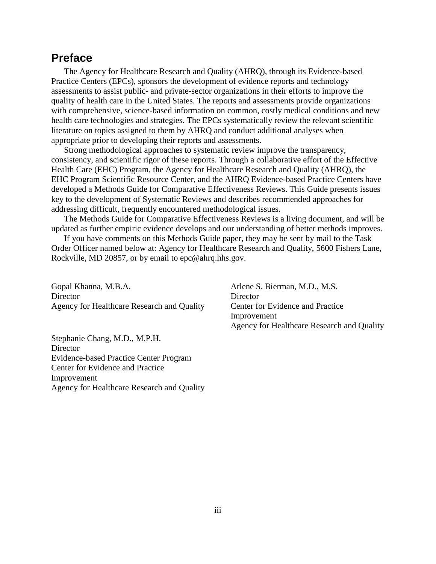## **Preface**

The Agency for Healthcare Research and Quality (AHRQ), through its Evidence-based Practice Centers (EPCs), sponsors the development of evidence reports and technology assessments to assist public- and private-sector organizations in their efforts to improve the quality of health care in the United States. The reports and assessments provide organizations with comprehensive, science-based information on common, costly medical conditions and new health care technologies and strategies. The EPCs systematically review the relevant scientific literature on topics assigned to them by AHRQ and conduct additional analyses when appropriate prior to developing their reports and assessments.

Strong methodological approaches to systematic review improve the transparency, consistency, and scientific rigor of these reports. Through a collaborative effort of the Effective Health Care (EHC) Program, the Agency for Healthcare Research and Quality (AHRQ), the EHC Program Scientific Resource Center, and the AHRQ Evidence-based Practice Centers have developed a Methods Guide for Comparative Effectiveness Reviews. This Guide presents issues key to the development of Systematic Reviews and describes recommended approaches for addressing difficult, frequently encountered methodological issues.

The Methods Guide for Comparative Effectiveness Reviews is a living document, and will be updated as further empiric evidence develops and our understanding of better methods improves.

If you have comments on this Methods Guide paper, they may be sent by mail to the Task Order Officer named below at: Agency for Healthcare Research and Quality, 5600 Fishers Lane, Rockville, MD 20857, or by email to epc@ahrq.hhs.gov.

Gopal Khanna, M.B.A. **Director** Agency for Healthcare Research and Quality

Stephanie Chang, M.D., M.P.H. **Director** Evidence-based Practice Center Program Center for Evidence and Practice Improvement Agency for Healthcare Research and Quality Arlene S. Bierman, M.D., M.S. **Director** Center for Evidence and Practice Improvement Agency for Healthcare Research and Quality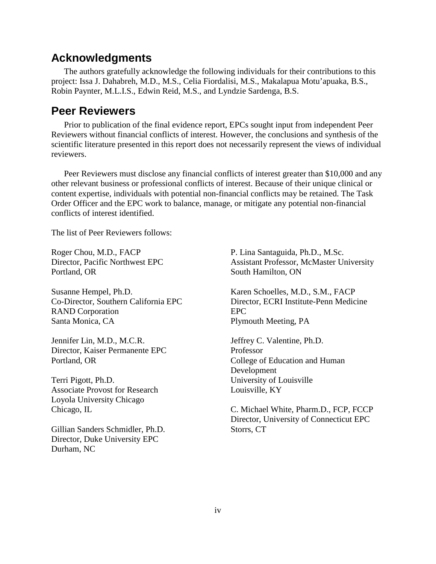#### **Acknowledgments**

The authors gratefully acknowledge the following individuals for their contributions to this project: Issa J. Dahabreh, M.D., M.S., Celia Fiordalisi, M.S., Makalapua Motu'apuaka, B.S., Robin Paynter, M.L.I.S., Edwin Reid, M.S., and Lyndzie Sardenga, B.S.

#### **Peer Reviewers**

Prior to publication of the final evidence report, EPCs sought input from independent Peer Reviewers without financial conflicts of interest. However, the conclusions and synthesis of the scientific literature presented in this report does not necessarily represent the views of individual reviewers.

Peer Reviewers must disclose any financial conflicts of interest greater than \$10,000 and any other relevant business or professional conflicts of interest. Because of their unique clinical or content expertise, individuals with potential non-financial conflicts may be retained. The Task Order Officer and the EPC work to balance, manage, or mitigate any potential non-financial conflicts of interest identified.

The list of Peer Reviewers follows:

Roger Chou, M.D., FACP Director, Pacific Northwest EPC Portland, OR

Susanne Hempel, Ph.D. Co-Director, Southern California EPC RAND Corporation Santa Monica, CA

Jennifer Lin, M.D., M.C.R. Director, Kaiser Permanente EPC Portland, OR

Terri Pigott, Ph.D. Associate Provost for Research Loyola University Chicago Chicago, IL

Gillian Sanders Schmidler, Ph.D. Director, Duke University EPC Durham, NC

P. Lina Santaguida, Ph.D., M.Sc. Assistant Professor, McMaster University South Hamilton, ON

Karen Schoelles, M.D., S.M., FACP Director, ECRI Institute-Penn Medicine EPC Plymouth Meeting, PA

Jeffrey C. Valentine, Ph.D. Professor College of Education and Human Development University of Louisville Louisville, KY

C. Michael White, Pharm.D., FCP, FCCP Director, University of Connecticut EPC Storrs, CT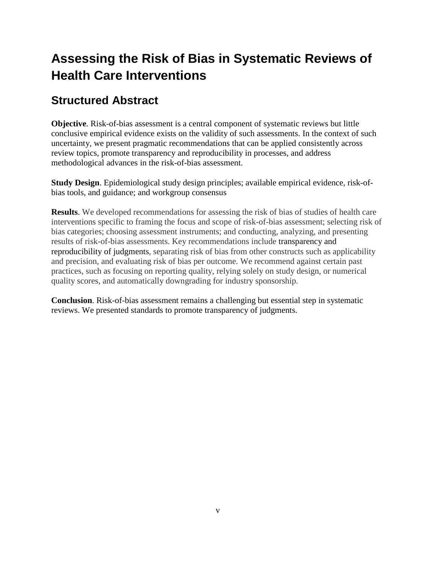# **Assessing the Risk of Bias in Systematic Reviews of Health Care Interventions**

# **Structured Abstract**

**Objective**. Risk-of-bias assessment is a central component of systematic reviews but little conclusive empirical evidence exists on the validity of such assessments. In the context of such uncertainty, we present pragmatic recommendations that can be applied consistently across review topics, promote transparency and reproducibility in processes, and address methodological advances in the risk-of-bias assessment.

**Study Design**. Epidemiological study design principles; available empirical evidence, risk-ofbias tools, and guidance; and workgroup consensus

**Results**. We developed recommendations for assessing the risk of bias of studies of health care interventions specific to framing the focus and scope of risk-of-bias assessment; selecting risk of bias categories; choosing assessment instruments; and conducting, analyzing, and presenting results of risk-of-bias assessments. Key recommendations include transparency and reproducibility of judgments, separating risk of bias from other constructs such as applicability and precision, and evaluating risk of bias per outcome. We recommend against certain past practices, such as focusing on reporting quality, relying solely on study design, or numerical quality scores, and automatically downgrading for industry sponsorship.

**Conclusion**. Risk-of-bias assessment remains a challenging but essential step in systematic reviews. We presented standards to promote transparency of judgments.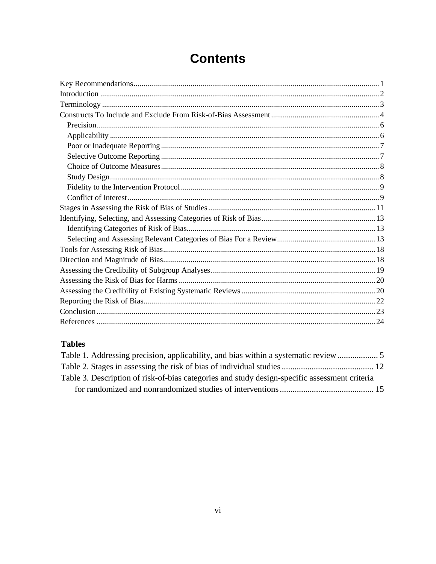# **Contents**

#### **Tables**

| Table 3. Description of risk-of-bias categories and study design-specific assessment criteria |  |
|-----------------------------------------------------------------------------------------------|--|
|                                                                                               |  |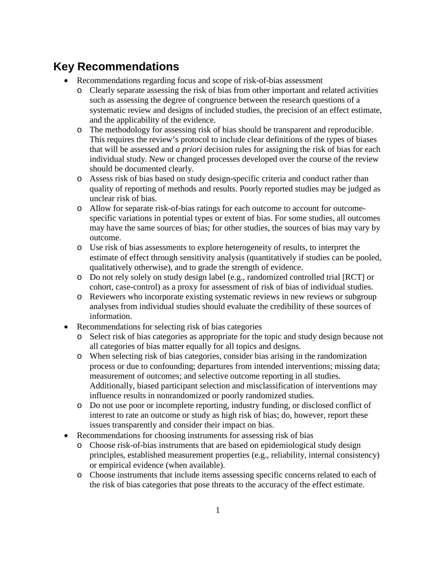# <span id="page-7-0"></span>**Key Recommendations**

- Recommendations regarding focus and scope of risk-of-bias assessment
	- o Clearly separate assessing the risk of bias from other important and related activities such as assessing the degree of congruence between the research questions of a systematic review and designs of included studies, the precision of an effect estimate, and the applicability of the evidence.
	- o The methodology for assessing risk of bias should be transparent and reproducible. This requires the review's protocol to include clear definitions of the types of biases that will be assessed and *a priori* decision rules for assigning the risk of bias for each individual study. New or changed processes developed over the course of the review should be documented clearly.
	- o Assess risk of bias based on study design-specific criteria and conduct rather than quality of reporting of methods and results. Poorly reported studies may be judged as unclear risk of bias.
	- o Allow for separate risk-of-bias ratings for each outcome to account for outcomespecific variations in potential types or extent of bias. For some studies, all outcomes may have the same sources of bias; for other studies, the sources of bias may vary by outcome.
	- o Use risk of bias assessments to explore heterogeneity of results, to interpret the estimate of effect through sensitivity analysis (quantitatively if studies can be pooled, qualitatively otherwise), and to grade the strength of evidence.
	- o Do not rely solely on study design label (e.g., randomized controlled trial [RCT] or cohort, case-control) as a proxy for assessment of risk of bias of individual studies.
	- o Reviewers who incorporate existing systematic reviews in new reviews or subgroup analyses from individual studies should evaluate the credibility of these sources of information.
- Recommendations for selecting risk of bias categories
	- o Select risk of bias categories as appropriate for the topic and study design because not all categories of bias matter equally for all topics and designs.
	- o When selecting risk of bias categories, consider bias arising in the randomization process or due to confounding; departures from intended interventions; missing data; measurement of outcomes; and selective outcome reporting in all studies. Additionally, biased participant selection and misclassification of interventions may influence results in nonrandomized or poorly randomized studies.
	- o Do not use poor or incomplete reporting, industry funding, or disclosed conflict of interest to rate an outcome or study as high risk of bias; do, however, report these issues transparently and consider their impact on bias.
- Recommendations for choosing instruments for assessing risk of bias
	- o Choose risk-of-bias instruments that are based on epidemiological study design principles, established measurement properties (e.g., reliability, internal consistency) or empirical evidence (when available).
	- o Choose instruments that include items assessing specific concerns related to each of the risk of bias categories that pose threats to the accuracy of the effect estimate.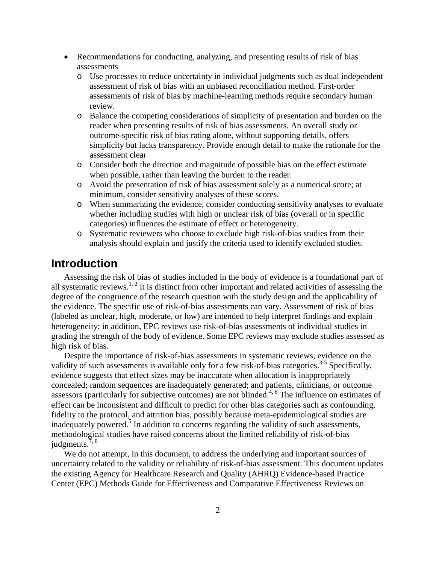- Recommendations for conducting, analyzing, and presenting results of risk of bias assessments
	- o Use processes to reduce uncertainty in individual judgments such as dual independent assessment of risk of bias with an unbiased reconciliation method. First-order assessments of risk of bias by machine-learning methods require secondary human review.
	- o Balance the competing considerations of simplicity of presentation and burden on the reader when presenting results of risk of bias assessments. An overall study or outcome-specific risk of bias rating alone, without supporting details, offers simplicity but lacks transparency. Provide enough detail to make the rationale for the assessment clear
	- o Consider both the direction and magnitude of possible bias on the effect estimate when possible, rather than leaving the burden to the reader.
	- o Avoid the presentation of risk of bias assessment solely as a numerical score; at minimum, consider sensitivity analyses of these scores.
	- o When summarizing the evidence, consider conducting sensitivity analyses to evaluate whether including studies with high or unclear risk of bias (overall or in specific categories) influences the estimate of effect or heterogeneity.
	- o Systematic reviewers who choose to exclude high risk-of-bias studies from their analysis should explain and justify the criteria used to identify excluded studies.

#### <span id="page-8-0"></span>**Introduction**

Assessing the risk of bias of studies included in the body of evidence is a foundational part of all systematic reviews.<sup>1, 2</sup> It is distinct from other important and related activities of assessing the degree of the congruence of the research question with the study design and the applicability of the evidence. The specific use of risk-of-bias assessments can vary. Assessment of risk of bias (labeled as unclear, high, moderate, or low) are intended to help interpret findings and explain heterogeneity; in addition, EPC reviews use risk-of-bias assessments of individual studies in grading the strength of the body of evidence. Some EPC reviews may exclude studies assessed as high risk of bias.

Despite the importance of risk-of-bias assessments in systematic reviews, evidence on the validity of such assessments is available only for a few risk-of-bias categories.<sup>3-5</sup> Specifically, evidence suggests that effect sizes may be inaccurate when allocation is inappropriately concealed; random sequences are inadequately generated; and patients, clinicians, or outcome assessors (particularly for subjective outcomes) are not blinded.<sup>4, 6</sup> The influence on estimates of effect can be inconsistent and difficult to predict for other bias categories such as confounding, fidelity to the protocol, and attrition bias, possibly because meta-epidemiological studies are inadequately powered.<sup>5</sup> In addition to concerns regarding the validity of such assessments, methodological studies have raised concerns about the limited reliability of risk-of-bias judgments. $7, 8$ 

We do not attempt, in this document, to address the underlying and important sources of uncertainty related to the validity or reliability of risk-of-bias assessment. This document updates the existing Agency for Healthcare Research and Quality (AHRQ) Evidence-based Practice Center (EPC) Methods Guide for Effectiveness and Comparative Effectiveness Reviews on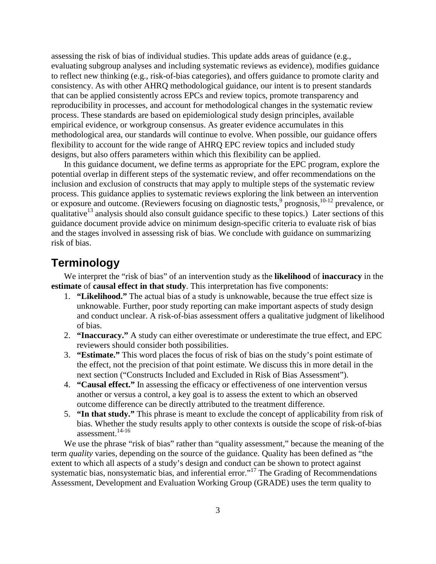assessing the risk of bias of individual studies. This update adds areas of guidance (e.g., evaluating subgroup analyses and including systematic reviews as evidence), modifies guidance to reflect new thinking (e.g., risk-of-bias categories), and offers guidance to promote clarity and consistency. As with other AHRQ methodological guidance, our intent is to present standards that can be applied consistently across EPCs and review topics, promote transparency and reproducibility in processes, and account for methodological changes in the systematic review process. These standards are based on epidemiological study design principles, available empirical evidence, or workgroup consensus. As greater evidence accumulates in this methodological area, our standards will continue to evolve. When possible, our guidance offers flexibility to account for the wide range of AHRQ EPC review topics and included study designs, but also offers parameters within which this flexibility can be applied.

In this guidance document, we define terms as appropriate for the EPC program, explore the potential overlap in different steps of the systematic review, and offer recommendations on the inclusion and exclusion of constructs that may apply to multiple steps of the systematic review process. This guidance applies to systematic reviews exploring the link between an intervention or exposure and outcome. (Reviewers focusing on diagnostic tests, <sup>9</sup> prognosis, <sup>10-12</sup> prevalence, or qualitative<sup>13</sup> analysis should also consult guidance specific to these topics.) Later sections of this guidance document provide advice on minimum design-specific criteria to evaluate risk of bias and the stages involved in assessing risk of bias. We conclude with guidance on summarizing risk of bias.

## <span id="page-9-0"></span>**Terminology**

We interpret the "risk of bias" of an intervention study as the **likelihood** of **inaccuracy** in the **estimate** of **causal effect in that study**. This interpretation has five components:

- 1. **"Likelihood."** The actual bias of a study is unknowable, because the true effect size is unknowable. Further, poor study reporting can make important aspects of study design and conduct unclear. A risk-of-bias assessment offers a qualitative judgment of likelihood of bias.
- 2. **"Inaccuracy."** A study can either overestimate or underestimate the true effect, and EPC reviewers should consider both possibilities.
- 3. **"Estimate."** This word places the focus of risk of bias on the study's point estimate of the effect, not the precision of that point estimate. We discuss this in more detail in the next section ("Constructs Included and Excluded in Risk of Bias Assessment").
- 4. **"Causal effect."** In assessing the efficacy or effectiveness of one intervention versus another or versus a control, a key goal is to assess the extent to which an observed outcome difference can be directly attributed to the treatment difference.
- 5. **"In that study."** This phrase is meant to exclude the concept of applicability from risk of bias. Whether the study results apply to other contexts is outside the scope of risk-of-bias assessment.14-16

We use the phrase "risk of bias" rather than "quality assessment," because the meaning of the term *quality* varies, depending on the source of the guidance. Quality has been defined as "the extent to which all aspects of a study's design and conduct can be shown to protect against systematic bias, nonsystematic bias, and inferential error."<sup>17</sup> The Grading of Recommendations Assessment, Development and Evaluation Working Group (GRADE) uses the term quality to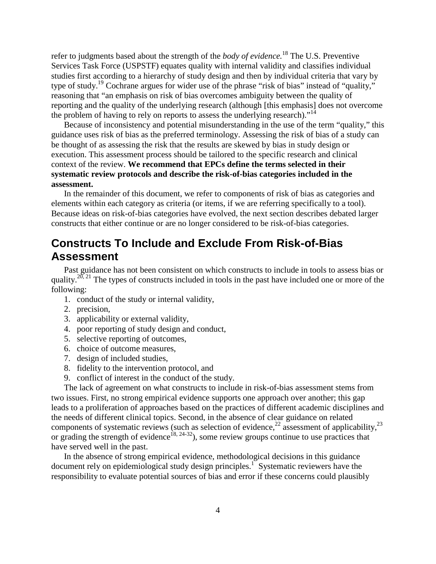refer to judgments based about the strength of the *body of evidence.*<sup>18</sup> The U.S. Preventive Services Task Force (USPSTF) equates quality with internal validity and classifies individual studies first according to a hierarchy of study design and then by individual criteria that vary by type of study.19 Cochrane argues for wider use of the phrase "risk of bias" instead of "quality," reasoning that "an emphasis on risk of bias overcomes ambiguity between the quality of reporting and the quality of the underlying research (although [this emphasis] does not overcome the problem of having to rely on reports to assess the underlying research)."<sup>14</sup>

Because of inconsistency and potential misunderstanding in the use of the term "quality," this guidance uses risk of bias as the preferred terminology. Assessing the risk of bias of a study can be thought of as assessing the risk that the results are skewed by bias in study design or execution. This assessment process should be tailored to the specific research and clinical context of the review. **We recommend that EPCs define the terms selected in their systematic review protocols and describe the risk-of-bias categories included in the assessment.**

In the remainder of this document, we refer to components of risk of bias as categories and elements within each category as criteria (or items, if we are referring specifically to a tool). Because ideas on risk-of-bias categories have evolved, the next section describes debated larger constructs that either continue or are no longer considered to be risk-of-bias categories.

# <span id="page-10-0"></span>**Constructs To Include and Exclude From Risk-of-Bias Assessment**

Past guidance has not been consistent on which constructs to include in tools to assess bias or quality.<sup>20, 21</sup> The types of constructs included in tools in the past have included one or more of the following:

- 1. conduct of the study or internal validity,
- 2. precision,
- 3. applicability or external validity,
- 4. poor reporting of study design and conduct,
- 5. selective reporting of outcomes,
- 6. choice of outcome measures,
- 7. design of included studies,
- 8. fidelity to the intervention protocol, and
- 9. conflict of interest in the conduct of the study.

The lack of agreement on what constructs to include in risk-of-bias assessment stems from two issues. First, no strong empirical evidence supports one approach over another; this gap leads to a proliferation of approaches based on the practices of different academic disciplines and the needs of different clinical topics. Second, in the absence of clear guidance on related components of systematic reviews (such as selection of evidence,<sup>22</sup> assessment of applicability,<sup>23</sup> or grading the strength of evidence<sup>18, 24-32</sup>), some review groups continue to use practices that have served well in the past.

In the absence of strong empirical evidence, methodological decisions in this guidance document rely on epidemiological study design principles.<sup>1</sup> Systematic reviewers have the responsibility to evaluate potential sources of bias and error if these concerns could plausibly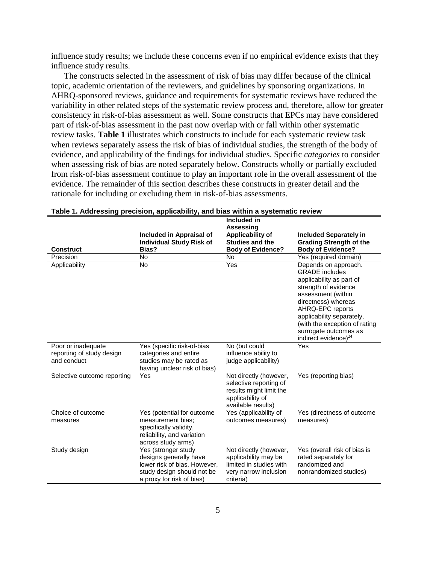influence study results; we include these concerns even if no empirical evidence exists that they influence study results.

 The constructs selected in the assessment of risk of bias may differ because of the clinical consistency in risk-of-bias assessment as well. Some constructs that EPCs may have considered topic, academic orientation of the reviewers, and guidelines by sponsoring organizations. In AHRQ-sponsored reviews, guidance and requirements for systematic reviews have reduced the variability in other related steps of the systematic review process and, therefore, allow for greater part of risk-of-bias assessment in the past now overlap with or fall within other systematic review tasks. **Table 1** illustrates which constructs to include for each systematic review task when reviews separately assess the risk of bias of individual studies, the strength of the body of evidence, and applicability of the findings for individual studies. Specific *categories* to consider when assessing risk of bias are noted separately below. Constructs wholly or partially excluded from risk-of-bias assessment continue to play an important role in the overall assessment of the evidence. The remainder of this section describes these constructs in greater detail and the rationale for including or excluding them in risk-of-bias assessments.

|                                                                |                                                                                                                                          | Included in                                                                                                           |                                                                                                                                                                                                                                                                                         |
|----------------------------------------------------------------|------------------------------------------------------------------------------------------------------------------------------------------|-----------------------------------------------------------------------------------------------------------------------|-----------------------------------------------------------------------------------------------------------------------------------------------------------------------------------------------------------------------------------------------------------------------------------------|
| <b>Construct</b>                                               | Included in Appraisal of<br><b>Individual Study Risk of</b><br>Bias?                                                                     | <b>Assessing</b><br>Applicability of<br><b>Studies and the</b><br><b>Body of Evidence?</b>                            | <b>Included Separately in</b><br><b>Grading Strength of the</b><br><b>Body of Evidence?</b>                                                                                                                                                                                             |
| Precision                                                      | No                                                                                                                                       | <b>No</b>                                                                                                             | Yes (required domain)                                                                                                                                                                                                                                                                   |
| Applicability                                                  | <b>No</b>                                                                                                                                | Yes                                                                                                                   | Depends on approach.<br><b>GRADE</b> includes<br>applicability as part of<br>strength of evidence<br>assessment (within<br>directness) whereas<br>AHRQ-EPC reports<br>applicability separately,<br>(with the exception of rating<br>surrogate outcomes as<br>indirect evidence) $^{24}$ |
| Poor or inadequate<br>reporting of study design<br>and conduct | Yes (specific risk-of-bias<br>categories and entire<br>studies may be rated as<br>having unclear risk of bias)                           | No (but could<br>influence ability to<br>judge applicability)                                                         | Yes                                                                                                                                                                                                                                                                                     |
| Selective outcome reporting                                    | Yes                                                                                                                                      | Not directly (however,<br>selective reporting of<br>results might limit the<br>applicability of<br>available results) | Yes (reporting bias)                                                                                                                                                                                                                                                                    |
| Choice of outcome<br>measures                                  | Yes (potential for outcome<br>measurement bias;<br>specifically validity,<br>reliability, and variation<br>across study arms)            | Yes (applicability of<br>outcomes measures)                                                                           | Yes (directness of outcome<br>measures)                                                                                                                                                                                                                                                 |
| Study design                                                   | Yes (stronger study<br>designs generally have<br>lower risk of bias. However,<br>study design should not be<br>a proxy for risk of bias) | Not directly (however,<br>applicability may be<br>limited in studies with<br>very narrow inclusion<br>criteria)       | Yes (overall risk of bias is<br>rated separately for<br>randomized and<br>nonrandomized studies)                                                                                                                                                                                        |

#### **Table 1. Addressing precision, applicability, and bias within a systematic review**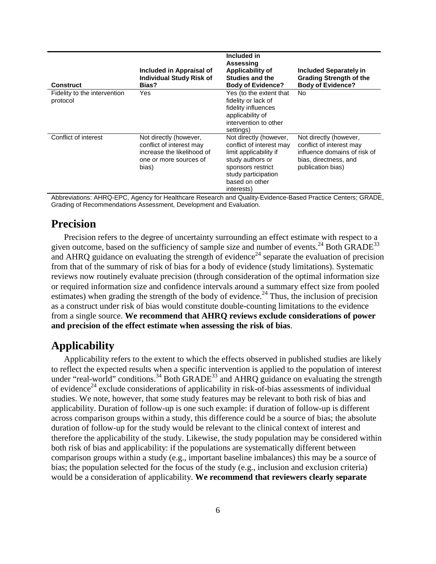| <b>Construct</b>                         | Included in Appraisal of<br><b>Individual Study Risk of</b><br>Bias?                                                | Included in<br><b>Assessing</b><br>Applicability of<br><b>Studies and the</b><br><b>Body of Evidence?</b>                                                                    | <b>Included Separately in</b><br><b>Grading Strength of the</b><br><b>Body of Evidence?</b>                                      |
|------------------------------------------|---------------------------------------------------------------------------------------------------------------------|------------------------------------------------------------------------------------------------------------------------------------------------------------------------------|----------------------------------------------------------------------------------------------------------------------------------|
| Fidelity to the intervention<br>protocol | Yes                                                                                                                 | Yes (to the extent that<br>fidelity or lack of<br>fidelity influences<br>applicability of<br>intervention to other<br>settings)                                              | No.                                                                                                                              |
| Conflict of interest                     | Not directly (however,<br>conflict of interest may<br>increase the likelihood of<br>one or more sources of<br>bias) | Not directly (however,<br>conflict of interest may<br>limit applicability if<br>study authors or<br>sponsors restrict<br>study participation<br>based on other<br>interests) | Not directly (however,<br>conflict of interest may<br>influence domains of risk of<br>bias, directness, and<br>publication bias) |

Abbreviations: AHRQ-EPC, Agency for Healthcare Research and Quality-Evidence-Based Practice Centers; GRADE, Grading of Recommendations Assessment, Development and Evaluation.

#### **Precision**

 reviews now routinely evaluate precision (through consideration of the optimal information size Precision refers to the degree of uncertainty surrounding an effect estimate with respect to a given outcome, based on the sufficiency of sample size and number of events.<sup>24</sup> Both GRADE<sup>33</sup> and AHRQ guidance on evaluating the strength of evidence<sup>24</sup> separate the evaluation of precision from that of the summary of risk of bias for a body of evidence (study limitations). Systematic or required information size and confidence intervals around a summary effect size from pooled estimates) when grading the strength of the body of evidence.<sup>24</sup> Thus, the inclusion of precision as a construct under risk of bias would constitute double-counting limitations to the evidence from a single source. **We recommend that AHRQ reviews exclude considerations of power and precision of the effect estimate when assessing the risk of bias**.

#### **Applicability**

 across comparison groups within a study, this difference could be a source of bias; the absolute therefore the applicability of the study. Likewise, the study population may be considered within comparison groups within a study (e.g., important baseline imbalances) this may be a source of Applicability refers to the extent to which the effects observed in published studies are likely to reflect the expected results when a specific intervention is applied to the population of interest under "real-world" conditions.<sup>34</sup> Both GRADE<sup>33</sup> and AHRQ guidance on evaluating the strength of evidence<sup>24</sup> exclude considerations of applicability in risk-of-bias assessments of individual studies. We note, however, that some study features may be relevant to both risk of bias and applicability. Duration of follow-up is one such example: if duration of follow-up is different duration of follow-up for the study would be relevant to the clinical context of interest and both risk of bias and applicability: if the populations are systematically different between bias; the population selected for the focus of the study (e.g., inclusion and exclusion criteria) would be a consideration of applicability. **We recommend that reviewers clearly separate**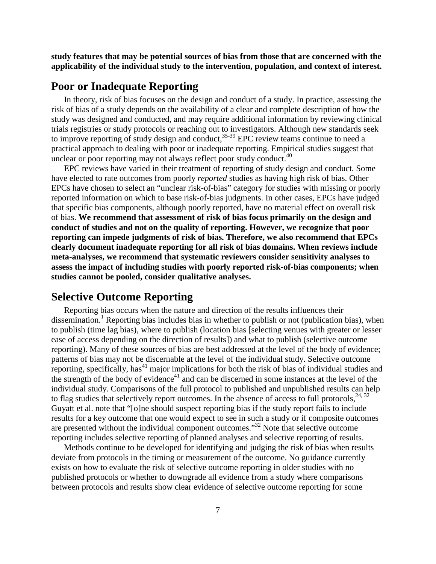**study features that may be potential sources of bias from those that are concerned with the applicability of the individual study to the intervention, population, and context of interest.** 

#### <span id="page-13-0"></span>**Poor or Inadequate Reporting**

In theory, risk of bias focuses on the design and conduct of a study. In practice, assessing the risk of bias of a study depends on the availability of a clear and complete description of how the study was designed and conducted, and may require additional information by reviewing clinical trials registries or study protocols or reaching out to investigators. Although new standards seek to improve reporting of study design and conduct,  $35-39$  EPC review teams continue to need a practical approach to dealing with poor or inadequate reporting. Empirical studies suggest that unclear or poor reporting may not always reflect poor study conduct. $40$ 

EPC reviews have varied in their treatment of reporting of study design and conduct. Some have elected to rate outcomes from poorly *reported* studies as having high risk of bias. Other EPCs have chosen to select an "unclear risk-of-bias" category for studies with missing or poorly reported information on which to base risk-of-bias judgments. In other cases, EPCs have judged that specific bias components, although poorly reported, have no material effect on overall risk of bias. **We recommend that assessment of risk of bias focus primarily on the design and conduct of studies and not on the quality of reporting. However, we recognize that poor reporting can impede judgments of risk of bias. Therefore, we also recommend that EPCs clearly document inadequate reporting for all risk of bias domains. When reviews include meta-analyses, we recommend that systematic reviewers consider sensitivity analyses to assess the impact of including studies with poorly reported risk-of-bias components; when studies cannot be pooled, consider qualitative analyses.** 

#### <span id="page-13-1"></span>**Selective Outcome Reporting**

Reporting bias occurs when the nature and direction of the results influences their dissemination.<sup>1</sup> Reporting bias includes bias in whether to publish or not (publication bias), when to publish (time lag bias), where to publish (location bias [selecting venues with greater or lesser ease of access depending on the direction of results]) and what to publish (selective outcome reporting). Many of these sources of bias are best addressed at the level of the body of evidence; patterns of bias may not be discernable at the level of the individual study. Selective outcome reporting, specifically, has<sup>41</sup> major implications for both the risk of bias of individual studies and the strength of the body of evidence $41$  and can be discerned in some instances at the level of the individual study. Comparisons of the full protocol to published and unpublished results can help to flag studies that selectively report outcomes. In the absence of access to full protocols,  $24, 32$ Guyatt et al. note that "[o]ne should suspect reporting bias if the study report fails to include results for a key outcome that one would expect to see in such a study or if composite outcomes are presented without the individual component outcomes."32 Note that selective outcome reporting includes selective reporting of planned analyses and selective reporting of results.

Methods continue to be developed for identifying and judging the risk of bias when results deviate from protocols in the timing or measurement of the outcome. No guidance currently exists on how to evaluate the risk of selective outcome reporting in older studies with no published protocols or whether to downgrade all evidence from a study where comparisons between protocols and results show clear evidence of selective outcome reporting for some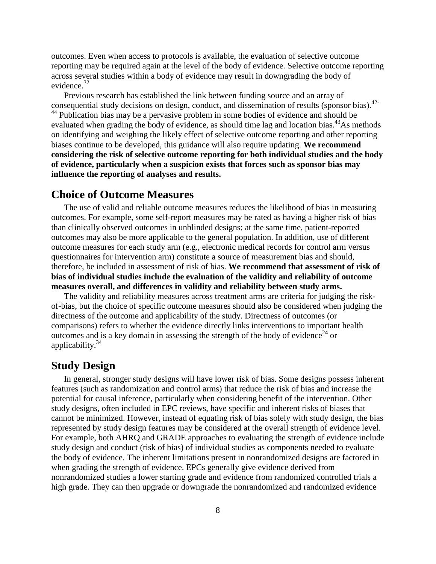outcomes. Even when access to protocols is available, the evaluation of selective outcome reporting may be required again at the level of the body of evidence. Selective outcome reporting across several studies within a body of evidence may result in downgrading the body of evidence.<sup>32</sup>

Previous research has established the link between funding source and an array of consequential study decisions on design, conduct, and dissemination of results (sponsor bias).<sup>42-</sup> <sup>44</sup> Publication bias may be a pervasive problem in some bodies of evidence and should be evaluated when grading the body of evidence, as should time lag and location bias.<sup>43</sup>As methods on identifying and weighing the likely effect of selective outcome reporting and other reporting biases continue to be developed, this guidance will also require updating. **We recommend considering the risk of selective outcome reporting for both individual studies and the body of evidence, particularly when a suspicion exists that forces such as sponsor bias may influence the reporting of analyses and results.** 

#### <span id="page-14-0"></span>**Choice of Outcome Measures**

The use of valid and reliable outcome measures reduces the likelihood of bias in measuring outcomes. For example, some self-report measures may be rated as having a higher risk of bias than clinically observed outcomes in unblinded designs; at the same time, patient-reported outcomes may also be more applicable to the general population. In addition, use of different outcome measures for each study arm (e.g., electronic medical records for control arm versus questionnaires for intervention arm) constitute a source of measurement bias and should, therefore, be included in assessment of risk of bias. **We recommend that assessment of risk of bias of individual studies include the evaluation of the validity and reliability of outcome measures overall, and differences in validity and reliability between study arms.**

The validity and reliability measures across treatment arms are criteria for judging the riskof-bias, but the choice of specific outcome measures should also be considered when judging the directness of the outcome and applicability of the study. Directness of outcomes (or comparisons) refers to whether the evidence directly links interventions to important health outcomes and is a key domain in assessing the strength of the body of evidence<sup>24</sup> or applicability. $34$ 

#### <span id="page-14-1"></span>**Study Design**

In general, stronger study designs will have lower risk of bias. Some designs possess inherent features (such as randomization and control arms) that reduce the risk of bias and increase the potential for causal inference, particularly when considering benefit of the intervention. Other study designs, often included in EPC reviews, have specific and inherent risks of biases that cannot be minimized. However, instead of equating risk of bias solely with study design, the bias represented by study design features may be considered at the overall strength of evidence level. For example, both AHRQ and GRADE approaches to evaluating the strength of evidence include study design and conduct (risk of bias) of individual studies as components needed to evaluate the body of evidence. The inherent limitations present in nonrandomized designs are factored in when grading the strength of evidence. EPCs generally give evidence derived from nonrandomized studies a lower starting grade and evidence from randomized controlled trials a high grade. They can then upgrade or downgrade the nonrandomized and randomized evidence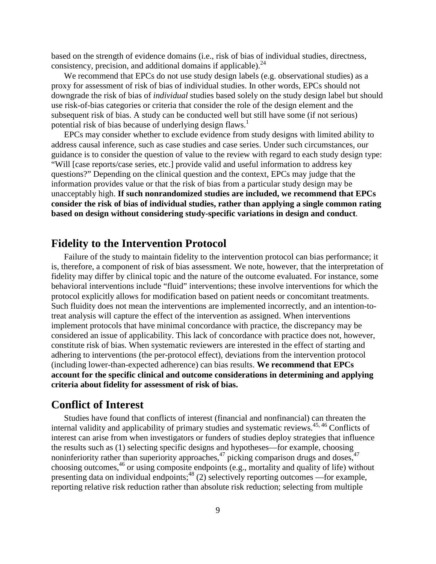based on the strength of evidence domains (i.e., risk of bias of individual studies, directness, consistency, precision, and additional domains if applicable).  $^{24}$ 

We recommend that EPCs do not use study design labels (e.g. observational studies) as a proxy for assessment of risk of bias of individual studies. In other words, EPCs should not downgrade the risk of bias of *individual* studies based solely on the study design label but should use risk-of-bias categories or criteria that consider the role of the design element and the subsequent risk of bias. A study can be conducted well but still have some (if not serious) potential risk of bias because of underlying design flaws.<sup>1</sup>

EPCs may consider whether to exclude evidence from study designs with limited ability to address causal inference, such as case studies and case series. Under such circumstances, our guidance is to consider the question of value to the review with regard to each study design type: "Will [case reports/case series, etc.] provide valid and useful information to address key questions?" Depending on the clinical question and the context, EPCs may judge that the information provides value or that the risk of bias from a particular study design may be unacceptably high. **If such nonrandomized studies are included, we recommend that EPCs consider the risk of bias of individual studies, rather than applying a single common rating based on design without considering study-specific variations in design and conduct**.

#### <span id="page-15-0"></span>**Fidelity to the Intervention Protocol**

Failure of the study to maintain fidelity to the intervention protocol can bias performance; it is, therefore, a component of risk of bias assessment. We note, however, that the interpretation of fidelity may differ by clinical topic and the nature of the outcome evaluated. For instance, some behavioral interventions include "fluid" interventions; these involve interventions for which the protocol explicitly allows for modification based on patient needs or concomitant treatments. Such fluidity does not mean the interventions are implemented incorrectly, and an intention-totreat analysis will capture the effect of the intervention as assigned. When interventions implement protocols that have minimal concordance with practice, the discrepancy may be considered an issue of applicability. This lack of concordance with practice does not, however, constitute risk of bias. When systematic reviewers are interested in the effect of starting and adhering to interventions (the per-protocol effect), deviations from the intervention protocol (including lower-than-expected adherence) can bias results. **We recommend that EPCs account for the specific clinical and outcome considerations in determining and applying criteria about fidelity for assessment of risk of bias.**

#### <span id="page-15-1"></span>**Conflict of Interest**

Studies have found that conflicts of interest (financial and nonfinancial) can threaten the internal validity and applicability of primary studies and systematic reviews.45, 46 Conflicts of interest can arise from when investigators or funders of studies deploy strategies that influence the results such as (1) selecting specific designs and hypotheses—for example, choosing noninferiority rather than superiority approaches,  $47$  picking comparison drugs and doses,  $47$ choosing outcomes,<sup>46</sup> or using composite endpoints (e.g., mortality and quality of life) without presenting data on individual endpoints; $48$  (2) selectively reporting outcomes —for example, reporting relative risk reduction rather than absolute risk reduction; selecting from multiple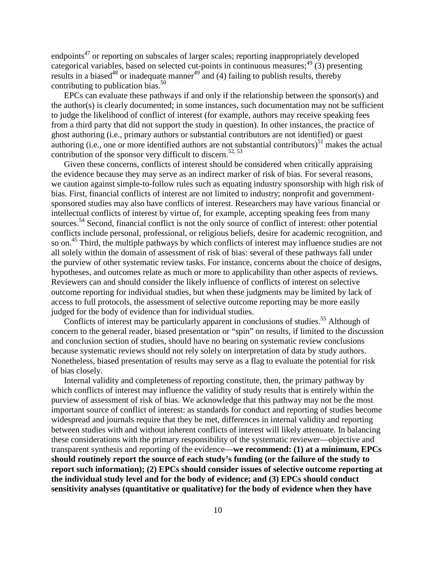endpoints<sup>47</sup> or reporting on subscales of larger scales; reporting inappropriately developed categorical variables, based on selected cut-points in continuous measures;  $^{49}$  (3) presenting results in a biased<sup>48</sup> or inadequate manner<sup>49</sup> and (4) failing to publish results, thereby contributing to publication bias.<sup>50</sup>

EPCs can evaluate these pathways if and only if the relationship between the sponsor(s) and the author(s) is clearly documented; in some instances, such documentation may not be sufficient to judge the likelihood of conflict of interest (for example, authors may receive speaking fees from a third party that did not support the study in question). In other instances, the practice of ghost authoring (i.e., primary authors or substantial contributors are not identified) or guest authoring (i.e., one or more identified authors are not substantial contributors) $<sup>51</sup>$  makes the actual</sup> contribution of the sponsor very difficult to discern.<sup>52, 53</sup>

Given these concerns, conflicts of interest should be considered when critically appraising the evidence because they may serve as an indirect marker of risk of bias. For several reasons, we caution against simple-to-follow rules such as equating industry sponsorship with high risk of bias. First, financial conflicts of interest are not limited to industry; nonprofit and governmentsponsored studies may also have conflicts of interest. Researchers may have various financial or intellectual conflicts of interest by virtue of, for example, accepting speaking fees from many sources.<sup>54</sup> Second, financial conflict is not the only source of conflict of interest: other potential conflicts include personal, professional, or religious beliefs, desire for academic recognition, and so on.<sup>45</sup> Third, the multiple pathways by which conflicts of interest may influence studies are not all solely within the domain of assessment of risk of bias: several of these pathways fall under the purview of other systematic review tasks. For instance, concerns about the choice of designs, hypotheses, and outcomes relate as much or more to applicability than other aspects of reviews. Reviewers can and should consider the likely influence of conflicts of interest on selective outcome reporting for individual studies, but when these judgments may be limited by lack of access to full protocols, the assessment of selective outcome reporting may be more easily judged for the body of evidence than for individual studies.

Conflicts of interest may be particularly apparent in conclusions of studies.<sup>55</sup> Although of concern to the general reader, biased presentation or "spin" on results, if limited to the discussion and conclusion section of studies, should have no bearing on systematic review conclusions because systematic reviews should not rely solely on interpretation of data by study authors. Nonetheless, biased presentation of results may serve as a flag to evaluate the potential for risk of bias closely.

Internal validity and completeness of reporting constitute, then, the primary pathway by which conflicts of interest may influence the validity of study results that is entirely within the purview of assessment of risk of bias. We acknowledge that this pathway may not be the most important source of conflict of interest: as standards for conduct and reporting of studies become widespread and journals require that they be met, differences in internal validity and reporting between studies with and without inherent conflicts of interest will likely attenuate. In balancing these considerations with the primary responsibility of the systematic reviewer—objective and transparent synthesis and reporting of the evidence—**we recommend: (1) at a minimum, EPCs should routinely report the source of each study's funding (or the failure of the study to report such information); (2) EPCs should consider issues of selective outcome reporting at the individual study level and for the body of evidence; and (3) EPCs should conduct sensitivity analyses (quantitative or qualitative) for the body of evidence when they have**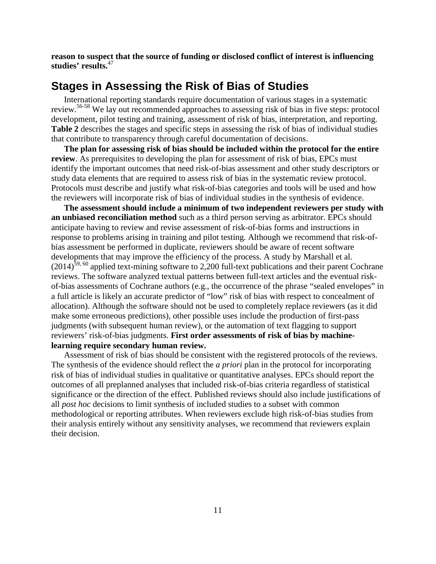**reason to suspect that the source of funding or disclosed conflict of interest is influencing studies' results.**47

### <span id="page-17-0"></span>**Stages in Assessing the Risk of Bias of Studies**

International reporting standards require documentation of various stages in a systematic review.56-58 We lay out recommended approaches to assessing risk of bias in five steps: protocol development, pilot testing and training, assessment of risk of bias, interpretation, and reporting. **Table 2** describes the stages and specific steps in assessing the risk of bias of individual studies that contribute to transparency through careful documentation of decisions.

**The plan for assessing risk of bias should be included within the protocol for the entire review**. As prerequisites to developing the plan for assessment of risk of bias, EPCs must identify the important outcomes that need risk-of-bias assessment and other study descriptors or study data elements that are required to assess risk of bias in the systematic review protocol. Protocols must describe and justify what risk-of-bias categories and tools will be used and how the reviewers will incorporate risk of bias of individual studies in the synthesis of evidence.

**The assessment should include a minimum of two independent reviewers per study with an unbiased reconciliation method** such as a third person serving as arbitrator. EPCs should anticipate having to review and revise assessment of risk-of-bias forms and instructions in response to problems arising in training and pilot testing. Although we recommend that risk-ofbias assessment be performed in duplicate, reviewers should be aware of recent software developments that may improve the efficiency of the process. A study by Marshall et al.  $(2014)^{59,60}$  applied text-mining software to 2,200 full-text publications and their parent Cochrane reviews. The software analyzed textual patterns between full-text articles and the eventual riskof-bias assessments of Cochrane authors (e.g., the occurrence of the phrase "sealed envelopes" in a full article is likely an accurate predictor of "low" risk of bias with respect to concealment of allocation). Although the software should not be used to completely replace reviewers (as it did make some erroneous predictions), other possible uses include the production of first-pass judgments (with subsequent human review), or the automation of text flagging to support reviewers' risk-of-bias judgments. **First order assessments of risk of bias by machinelearning require secondary human review.**

<span id="page-17-1"></span>Assessment of risk of bias should be consistent with the registered protocols of the reviews. The synthesis of the evidence should reflect the *a priori* plan in the protocol for incorporating risk of bias of individual studies in qualitative or quantitative analyses. EPCs should report the outcomes of all preplanned analyses that included risk-of-bias criteria regardless of statistical significance or the direction of the effect. Published reviews should also include justifications of all *post hoc* decisions to limit synthesis of included studies to a subset with common methodological or reporting attributes. When reviewers exclude high risk-of-bias studies from their analysis entirely without any sensitivity analyses, we recommend that reviewers explain their decision.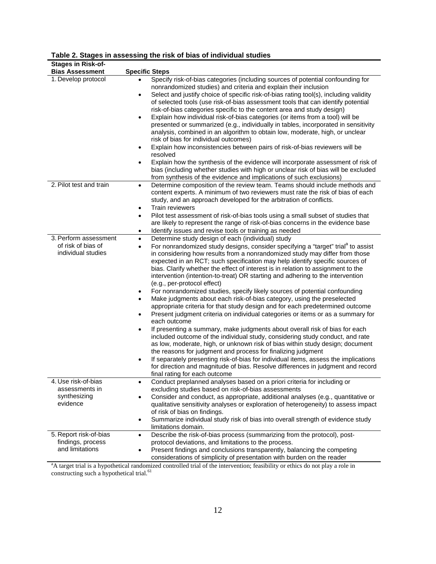| <b>Stages in Risk-of-</b>             |                                                                                                                                                                                                                                                            |
|---------------------------------------|------------------------------------------------------------------------------------------------------------------------------------------------------------------------------------------------------------------------------------------------------------|
| <b>Bias Assessment</b>                | <b>Specific Steps</b>                                                                                                                                                                                                                                      |
| 1. Develop protocol                   | Specify risk-of-bias categories (including sources of potential confounding for<br>nonrandomized studies) and criteria and explain their inclusion                                                                                                         |
|                                       | Select and justify choice of specific risk-of-bias rating tool(s), including validity<br>$\bullet$<br>of selected tools (use risk-of-bias assessment tools that can identify potential                                                                     |
|                                       | risk-of-bias categories specific to the content area and study design)<br>Explain how individual risk-of-bias categories (or items from a tool) will be<br>$\bullet$                                                                                       |
|                                       | presented or summarized (e.g., individually in tables, incorporated in sensitivity<br>analysis, combined in an algorithm to obtain low, moderate, high, or unclear                                                                                         |
|                                       | risk of bias for individual outcomes)                                                                                                                                                                                                                      |
|                                       | Explain how inconsistencies between pairs of risk-of-bias reviewers will be<br>٠<br>resolved                                                                                                                                                               |
|                                       | Explain how the synthesis of the evidence will incorporate assessment of risk of<br>$\bullet$<br>bias (including whether studies with high or unclear risk of bias will be excluded<br>from synthesis of the evidence and implications of such exclusions) |
| 2. Pilot test and train               | Determine composition of the review team. Teams should include methods and<br>$\bullet$<br>content experts. A minimum of two reviewers must rate the risk of bias of each<br>study, and an approach developed for the arbitration of conflicts.            |
|                                       | Train reviewers<br>$\bullet$                                                                                                                                                                                                                               |
|                                       | Pilot test assessment of risk-of-bias tools using a small subset of studies that<br>$\bullet$                                                                                                                                                              |
|                                       | are likely to represent the range of risk-of-bias concerns in the evidence base<br>Identify issues and revise tools or training as needed<br>$\bullet$                                                                                                     |
| 3. Perform assessment                 | Determine study design of each (individual) study<br>$\bullet$                                                                                                                                                                                             |
| of risk of bias of                    | For nonrandomized study designs, consider specifying a "target" trial <sup>a</sup> to assist<br>$\bullet$                                                                                                                                                  |
| individual studies                    | in considering how results from a nonrandomized study may differ from those                                                                                                                                                                                |
|                                       | expected in an RCT; such specification may help identify specific sources of                                                                                                                                                                               |
|                                       | bias. Clarify whether the effect of interest is in relation to assignment to the<br>intervention (intention-to-treat) OR starting and adhering to the intervention                                                                                         |
|                                       | (e.g., per-protocol effect)                                                                                                                                                                                                                                |
|                                       | For nonrandomized studies, specify likely sources of potential confounding                                                                                                                                                                                 |
|                                       | Make judgments about each risk-of-bias category, using the preselected<br>appropriate criteria for that study design and for each predetermined outcome                                                                                                    |
|                                       | Present judgment criteria on individual categories or items or as a summary for<br>$\bullet$<br>each outcome                                                                                                                                               |
|                                       | If presenting a summary, make judgments about overall risk of bias for each<br>$\bullet$                                                                                                                                                                   |
|                                       | included outcome of the individual study, considering study conduct, and rate<br>as low, moderate, high, or unknown risk of bias within study design; document                                                                                             |
|                                       | the reasons for judgment and process for finalizing judgment<br>If separately presenting risk-of-bias for individual items, assess the implications<br>$\bullet$                                                                                           |
|                                       | for direction and magnitude of bias. Resolve differences in judgment and record                                                                                                                                                                            |
|                                       | final rating for each outcome                                                                                                                                                                                                                              |
| 4. Use risk-of-bias<br>assessments in | Conduct preplanned analyses based on a priori criteria for including or<br>٠<br>excluding studies based on risk-of-bias assessments                                                                                                                        |
| synthesizing<br>evidence              | Consider and conduct, as appropriate, additional analyses (e.g., quantitative or<br>$\bullet$<br>qualitative sensitivity analyses or exploration of heterogeneity) to assess impact                                                                        |
|                                       | of risk of bias on findings.                                                                                                                                                                                                                               |
|                                       | Summarize individual study risk of bias into overall strength of evidence study<br>$\bullet$<br>limitations domain.                                                                                                                                        |
| 5. Report risk-of-bias                | Describe the risk-of-bias process (summarizing from the protocol), post-<br>$\bullet$                                                                                                                                                                      |
| findings, process<br>and limitations  | protocol deviations, and limitations to the process.                                                                                                                                                                                                       |
|                                       | Present findings and conclusions transparently, balancing the competing<br>$\bullet$<br>considerations of simplicity of presentation with burden on the reader                                                                                             |

#### **Table 2. Stages in assessing the risk of bias of individual studies**

<sup>a</sup>A target trial is a hypothetical randomized controlled trial of the intervention; feasibility or ethics do not play a role in constructing such a hypothetical trial. 61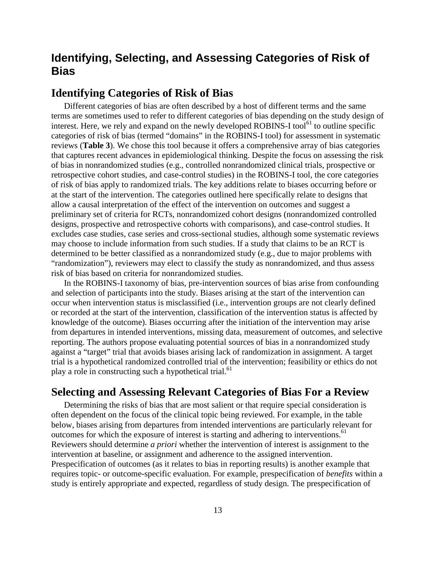## <span id="page-19-0"></span>**Identifying, Selecting, and Assessing Categories of Risk of Bias**

#### <span id="page-19-1"></span>**Identifying Categories of Risk of Bias**

Different categories of bias are often described by a host of different terms and the same terms are sometimes used to refer to different categories of bias depending on the study design of interest. Here, we rely and expand on the newly developed ROBINS-I tool<sup>61</sup> to outline specific categories of risk of bias (termed "domains" in the ROBINS-I tool) for assessment in systematic reviews (**Table 3**). We chose this tool because it offers a comprehensive array of bias categories that captures recent advances in epidemiological thinking. Despite the focus on assessing the risk of bias in nonrandomized studies (e.g., controlled nonrandomized clinical trials, prospective or retrospective cohort studies, and case-control studies) in the ROBINS-I tool, the core categories of risk of bias apply to randomized trials. The key additions relate to biases occurring before or at the start of the intervention. The categories outlined here specifically relate to designs that allow a causal interpretation of the effect of the intervention on outcomes and suggest a preliminary set of criteria for RCTs, nonrandomized cohort designs (nonrandomized controlled designs, prospective and retrospective cohorts with comparisons), and case-control studies. It excludes case studies, case series and cross-sectional studies, although some systematic reviews may choose to include information from such studies. If a study that claims to be an RCT is determined to be better classified as a nonrandomized study (e.g., due to major problems with "randomization"), reviewers may elect to classify the study as nonrandomized, and thus assess risk of bias based on criteria for nonrandomized studies.

In the ROBINS-I taxonomy of bias, pre-intervention sources of bias arise from confounding and selection of participants into the study. Biases arising at the start of the intervention can occur when intervention status is misclassified (i.e., intervention groups are not clearly defined or recorded at the start of the intervention, classification of the intervention status is affected by knowledge of the outcome). Biases occurring after the initiation of the intervention may arise from departures in intended interventions, missing data, measurement of outcomes, and selective reporting. The authors propose evaluating potential sources of bias in a nonrandomized study against a "target" trial that avoids biases arising lack of randomization in assignment. A target trial is a hypothetical randomized controlled trial of the intervention; feasibility or ethics do not play a role in constructing such a hypothetical trial.<sup>61</sup>

#### <span id="page-19-2"></span>**Selecting and Assessing Relevant Categories of Bias For a Review**

Determining the risks of bias that are most salient or that require special consideration is often dependent on the focus of the clinical topic being reviewed. For example, in the table below, biases arising from departures from intended interventions are particularly relevant for outcomes for which the exposure of interest is starting and adhering to interventions.<sup>61</sup> Reviewers should determine *a priori* whether the intervention of interest is assignment to the intervention at baseline, or assignment and adherence to the assigned intervention. Prespecification of outcomes (as it relates to bias in reporting results) is another example that requires topic- or outcome-specific evaluation. For example, prespecification of *benefits* within a study is entirely appropriate and expected, regardless of study design. The prespecification of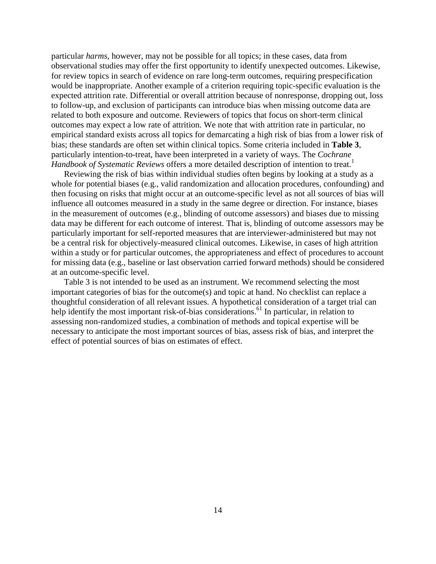particular *harms*, however, may not be possible for all topics; in these cases, data from observational studies may offer the first opportunity to identify unexpected outcomes. Likewise, for review topics in search of evidence on rare long-term outcomes, requiring prespecification would be inappropriate. Another example of a criterion requiring topic-specific evaluation is the expected attrition rate. Differential or overall attrition because of nonresponse, dropping out, loss to follow-up, and exclusion of participants can introduce bias when missing outcome data are related to both exposure and outcome. Reviewers of topics that focus on short-term clinical outcomes may expect a low rate of attrition. We note that with attrition rate in particular, no empirical standard exists across all topics for demarcating a high risk of bias from a lower risk of bias; these standards are often set within clinical topics. Some criteria included in **Table 3**, particularly intention-to-treat, have been interpreted in a variety of ways. The *Cochrane Handbook of Systematic Reviews* offers a more detailed description of intention to treat.<sup>1</sup>

Reviewing the risk of bias within individual studies often begins by looking at a study as a whole for potential biases (e.g., valid randomization and allocation procedures, confounding) and then focusing on risks that might occur at an outcome-specific level as not all sources of bias will influence all outcomes measured in a study in the same degree or direction. For instance, biases in the measurement of outcomes (e.g., blinding of outcome assessors) and biases due to missing data may be different for each outcome of interest. That is, blinding of outcome assessors may be particularly important for self-reported measures that are interviewer-administered but may not be a central risk for objectively-measured clinical outcomes. Likewise, in cases of high attrition within a study or for particular outcomes, the appropriateness and effect of procedures to account for missing data (e.g., baseline or last observation carried forward methods) should be considered at an outcome-specific level.

Table 3 is not intended to be used as an instrument. We recommend selecting the most important categories of bias for the outcome(s) and topic at hand. No checklist can replace a thoughtful consideration of all relevant issues. A hypothetical consideration of a target trial can help identify the most important risk-of-bias considerations.<sup>61</sup> In particular, in relation to assessing non-randomized studies, a combination of methods and topical expertise will be necessary to anticipate the most important sources of bias, assess risk of bias, and interpret the effect of potential sources of bias on estimates of effect.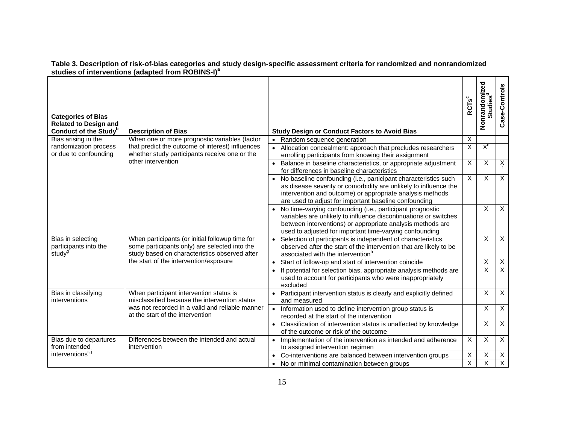| <b>Categories of Bias</b><br><b>Related to Design and</b><br>Conduct of the Study <sup>b</sup> | <b>Description of Bias</b>                                                                                                                                                                  | <b>Study Design or Conduct Factors to Avoid Bias</b>                                                                                                                                                                                                      | <b>RCTs</b> c           | Nonrandomized           | Case-Controls  |
|------------------------------------------------------------------------------------------------|---------------------------------------------------------------------------------------------------------------------------------------------------------------------------------------------|-----------------------------------------------------------------------------------------------------------------------------------------------------------------------------------------------------------------------------------------------------------|-------------------------|-------------------------|----------------|
| Bias arising in the                                                                            | When one or more prognostic variables (factor                                                                                                                                               | • Random sequence generation                                                                                                                                                                                                                              | X                       |                         |                |
| randomization process<br>or due to confounding                                                 | that predict the outcome of interest) influences<br>whether study participants receive one or the<br>other intervention                                                                     | • Allocation concealment: approach that precludes researchers<br>enrolling participants from knowing their assignment                                                                                                                                     | $\overline{\mathsf{x}}$ | $X_{e}$                 |                |
|                                                                                                |                                                                                                                                                                                             | Balance in baseline characteristics, or appropriate adjustment<br>$\bullet$<br>for differences in baseline characteristics                                                                                                                                | X                       | X                       | $X_f$          |
|                                                                                                |                                                                                                                                                                                             | No baseline confounding (i.e., participant characteristics such<br>as disease severity or comorbidity are unlikely to influence the<br>intervention and outcome) or appropriate analysis methods<br>are used to adjust for important baseline confounding | X                       | X                       | $\times$       |
|                                                                                                |                                                                                                                                                                                             | • No time-varying confounding (i.e., participant prognostic<br>variables are unlikely to influence discontinuations or switches<br>between interventions) or appropriate analysis methods are<br>used to adjusted for important time-varying confounding  |                         | X                       | $\overline{X}$ |
| Bias in selecting<br>participants into the<br>study <sup>g</sup>                               | When participants (or initial followup time for<br>some participants only) are selected into the<br>study based on characteristics observed after<br>the start of the intervention/exposure | Selection of participants is independent of characteristics<br>observed after the start of the intervention that are likely to be<br>associated with the intervention <sup>h</sup>                                                                        |                         | X                       | $\overline{X}$ |
|                                                                                                |                                                                                                                                                                                             | Start of follow-up and start of intervention coincide                                                                                                                                                                                                     |                         | X                       | X              |
|                                                                                                |                                                                                                                                                                                             | If potential for selection bias, appropriate analysis methods are<br>used to account for participants who were inappropriately<br>excluded                                                                                                                |                         | $\overline{\mathsf{x}}$ | $\overline{X}$ |
| Bias in classifying<br>interventions                                                           | When participant intervention status is<br>misclassified because the intervention status                                                                                                    | • Participant intervention status is clearly and explicitly defined<br>and measured                                                                                                                                                                       |                         |                         |                |
|                                                                                                | was not recorded in a valid and reliable manner<br>at the start of the intervention                                                                                                         | Information used to define intervention group status is<br>recorded at the start of the intervention                                                                                                                                                      |                         | X                       | $\pmb{\times}$ |
|                                                                                                |                                                                                                                                                                                             | • Classification of intervention status is unaffected by knowledge<br>of the outcome or risk of the outcome                                                                                                                                               |                         | X                       | $\overline{X}$ |
| Bias due to departures<br>from intended<br>interventions <sup>1</sup>                          | Differences between the intended and actual<br>intervention                                                                                                                                 | Implementation of the intervention as intended and adherence<br>to assigned intervention regimen                                                                                                                                                          | $\overline{X}$          | X                       | $\overline{X}$ |
|                                                                                                |                                                                                                                                                                                             | Co-interventions are balanced between intervention groups                                                                                                                                                                                                 | Χ                       | Χ                       | $\overline{X}$ |
|                                                                                                |                                                                                                                                                                                             | No or minimal contamination between groups<br>$\bullet$                                                                                                                                                                                                   | $\overline{\mathsf{x}}$ | X                       | $\overline{X}$ |

#### **Table 3. Description of risk-of-bias categories and study design-specific assessment criteria for randomized and nonrandomized studies of interventions (adapted from ROBINS-I)<sup>a</sup>**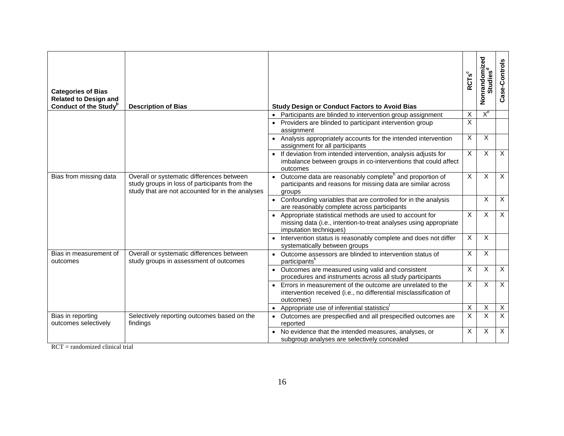| <b>Categories of Bias</b><br><b>Related to Design and</b><br>Conduct of the Study <sup>p</sup> | <b>Description of Bias</b>                                                                                                                     | <b>Study Design or Conduct Factors to Avoid Bias</b>                                                                                                   | <b>RCTs</b> c  | Nonrandomized<br>Studies <sup>d</sup> | Case-Controls             |
|------------------------------------------------------------------------------------------------|------------------------------------------------------------------------------------------------------------------------------------------------|--------------------------------------------------------------------------------------------------------------------------------------------------------|----------------|---------------------------------------|---------------------------|
|                                                                                                |                                                                                                                                                | Participants are blinded to intervention group assignment<br>$\bullet$                                                                                 | $\times$       | $X_{e}$                               |                           |
|                                                                                                |                                                                                                                                                | Providers are blinded to participant intervention group<br>assignment                                                                                  | X              |                                       |                           |
|                                                                                                |                                                                                                                                                | • Analysis appropriately accounts for the intended intervention<br>assignment for all participants                                                     | X              | X                                     |                           |
|                                                                                                |                                                                                                                                                | • If deviation from intended intervention, analysis adjusts for<br>imbalance between groups in co-interventions that could affect<br>outcomes          | X              | X                                     | $\boldsymbol{\mathsf{X}}$ |
| Bias from missing data                                                                         | Overall or systematic differences between<br>study groups in loss of participants from the<br>study that are not accounted for in the analyses | • Outcome data are reasonably complete <sup>h</sup> and proportion of<br>participants and reasons for missing data are similar across<br>groups        | X              | X                                     | $\sf X$                   |
|                                                                                                |                                                                                                                                                | Confounding variables that are controlled for in the analysis<br>are reasonably complete across participants                                           |                | $\overline{X}$                        | $\overline{X}$            |
|                                                                                                |                                                                                                                                                | Appropriate statistical methods are used to account for<br>missing data (i.e., intention-to-treat analyses using appropriate<br>imputation techniques) | X              | X                                     | $\boldsymbol{\mathsf{X}}$ |
|                                                                                                |                                                                                                                                                | Intervention status is reasonably complete and does not differ<br>systematically between groups                                                        | $\overline{X}$ | $\overline{X}$                        |                           |
| Bias in measurement of<br>outcomes                                                             | Overall or systematic differences between<br>study groups in assessment of outcomes                                                            | Outcome assessors are blinded to intervention status of<br>participants <sup>k</sup>                                                                   | X              | $\overline{X}$                        |                           |
|                                                                                                |                                                                                                                                                | Outcomes are measured using valid and consistent<br>procedures and instruments across all study participants                                           | X              | X                                     | $\boldsymbol{\mathsf{X}}$ |
|                                                                                                |                                                                                                                                                | Errors in measurement of the outcome are unrelated to the<br>intervention received (i.e., no differential misclassification of<br>outcomes)            | X              | $\overline{X}$                        | $\sf X$                   |
|                                                                                                |                                                                                                                                                | Appropriate use of inferential statistics'                                                                                                             | $\mathsf X$    | X                                     | $\boldsymbol{\mathsf{X}}$ |
| Bias in reporting<br>outcomes selectively                                                      | Selectively reporting outcomes based on the<br>findings                                                                                        | Outcomes are prespecified and all prespecified outcomes are<br>reported                                                                                | $\overline{X}$ | X                                     | X                         |
|                                                                                                |                                                                                                                                                | No evidence that the intended measures, analyses, or<br>subgroup analyses are selectively concealed                                                    | $\mathsf X$    | X                                     | $\boldsymbol{\mathsf{X}}$ |

 $RCT = \text{randomized clinical trial}$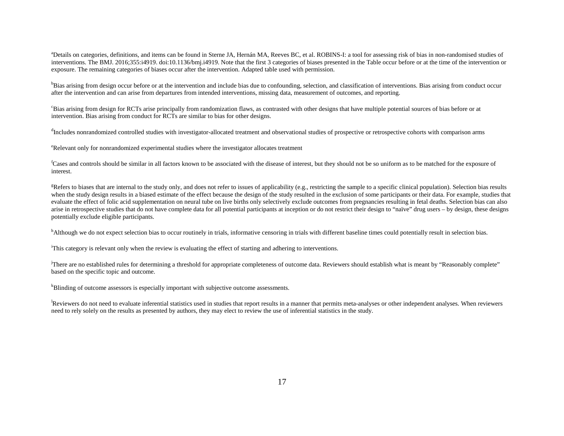<sup>a</sup>Details on categories, definitions, and items can be found in Sterne JA, Hernán MA, Reeves BC, et al. ROBINS-I: a tool for assessing risk of bias in non-randomised studies of interventions. The BMJ. 2016;355:i4919. doi:10.1136/bmj.i4919. Note that the first 3 categories of biases presented in the Table occur before or at the time of the intervention or exposure. The remaining categories of biases occur after the intervention. Adapted table used with permission.

<sup>b</sup>Bias arising from design occur before or at the intervention and include bias due to confounding, selection, and classification of interventions. Bias arising from conduct occur after the intervention and can arise from departures from intended interventions, missing data, measurement of outcomes, and reporting.

c Bias arising from design for RCTs arise principally from randomization flaws, as contrasted with other designs that have multiple potential sources of bias before or at intervention. Bias arising from conduct for RCTs are similar to bias for other designs.

<sup>d</sup>Includes nonrandomized controlled studies with investigator-allocated treatment and observational studies of prospective or retrospective cohorts with comparison arms

e Relevant only for nonrandomized experimental studies where the investigator allocates treatment

<sup>f</sup>Cases and controls should be similar in all factors known to be associated with the disease of interest, but they should not be so uniform as to be matched for the exposure of interest.

<sup>g</sup>Refers to biases that are internal to the study only, and does not refer to issues of applicability (e.g., restricting the sample to a specific clinical population). Selection bias results when the study design results in a biased estimate of the effect because the design of the study resulted in the exclusion of some participants or their data. For example, studies that evaluate the effect of folic acid supplementation on neural tube on live births only selectively exclude outcomes from pregnancies resulting in fetal deaths. Selection bias can also arise in retrospective studies that do not have complete data for all potential participants at inception or do not restrict their design to "naïve" drug users – by design, these designs potentially exclude eligible participants.

<sup>h</sup>Although we do not expect selection bias to occur routinely in trials, informative censoring in trials with different baseline times could potentially result in selection bias.

i This category is relevant only when the review is evaluating the effect of starting and adhering to interventions.

<sup>j</sup>There are no established rules for determining a threshold for appropriate completeness of outcome data. Reviewers should establish what is meant by "Reasonably complete" based on the specific topic and outcome.

<sup>k</sup>Blinding of outcome assessors is especially important with subjective outcome assessments.

Reviewers do not need to evaluate inferential statistics used in studies that report results in a manner that permits meta-analyses or other independent analyses. When reviewers need to rely solely on the results as presented by authors, they may elect to review the use of inferential statistics in the study.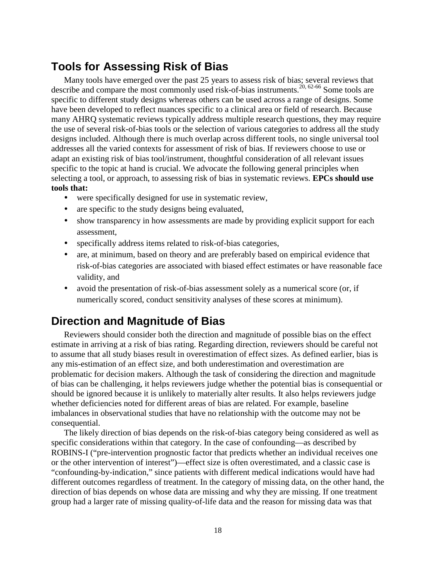# <span id="page-24-0"></span>**Tools for Assessing Risk of Bias**

Many tools have emerged over the past 25 years to assess risk of bias; several reviews that describe and compare the most commonly used risk-of-bias instruments.<sup>20, 62-66</sup> Some tools are specific to different study designs whereas others can be used across a range of designs. Some have been developed to reflect nuances specific to a clinical area or field of research. Because many AHRQ systematic reviews typically address multiple research questions, they may require the use of several risk-of-bias tools or the selection of various categories to address all the study designs included. Although there is much overlap across different tools, no single universal tool addresses all the varied contexts for assessment of risk of bias. If reviewers choose to use or adapt an existing risk of bias tool/instrument, thoughtful consideration of all relevant issues specific to the topic at hand is crucial. We advocate the following general principles when selecting a tool, or approach, to assessing risk of bias in systematic reviews. **EPCs should use tools that:** 

- were specifically designed for use in systematic review,
- are specific to the study designs being evaluated,
- show transparency in how assessments are made by providing explicit support for each assessment,
- specifically address items related to risk-of-bias categories,
- are, at minimum, based on theory and are preferably based on empirical evidence that risk-of-bias categories are associated with biased effect estimates or have reasonable face validity, and
- avoid the presentation of risk-of-bias assessment solely as a numerical score (or, if numerically scored, conduct sensitivity analyses of these scores at minimum).

# <span id="page-24-1"></span>**Direction and Magnitude of Bias**

Reviewers should consider both the direction and magnitude of possible bias on the effect estimate in arriving at a risk of bias rating. Regarding direction, reviewers should be careful not to assume that all study biases result in overestimation of effect sizes. As defined earlier, bias is any mis-estimation of an effect size, and both underestimation and overestimation are problematic for decision makers. Although the task of considering the direction and magnitude of bias can be challenging, it helps reviewers judge whether the potential bias is consequential or should be ignored because it is unlikely to materially alter results. It also helps reviewers judge whether deficiencies noted for different areas of bias are related. For example, baseline imbalances in observational studies that have no relationship with the outcome may not be consequential.

The likely direction of bias depends on the risk-of-bias category being considered as well as specific considerations within that category. In the case of confounding—as described by ROBINS-I ("pre-intervention prognostic factor that predicts whether an individual receives one or the other intervention of interest")—effect size is often overestimated, and a classic case is "confounding-by-indication," since patients with different medical indications would have had different outcomes regardless of treatment. In the category of missing data, on the other hand, the direction of bias depends on whose data are missing and why they are missing. If one treatment group had a larger rate of missing quality-of-life data and the reason for missing data was that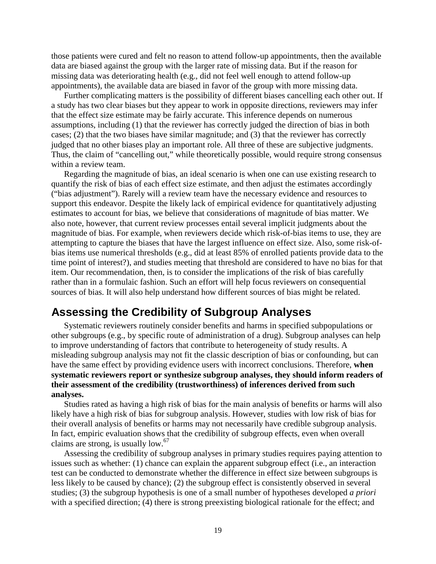those patients were cured and felt no reason to attend follow-up appointments, then the available data are biased against the group with the larger rate of missing data. But if the reason for missing data was deteriorating health (e.g., did not feel well enough to attend follow-up appointments), the available data are biased in favor of the group with more missing data.

Further complicating matters is the possibility of different biases cancelling each other out. If a study has two clear biases but they appear to work in opposite directions, reviewers may infer that the effect size estimate may be fairly accurate. This inference depends on numerous assumptions, including (1) that the reviewer has correctly judged the direction of bias in both cases; (2) that the two biases have similar magnitude; and (3) that the reviewer has correctly judged that no other biases play an important role. All three of these are subjective judgments. Thus, the claim of "cancelling out," while theoretically possible, would require strong consensus within a review team.

Regarding the magnitude of bias, an ideal scenario is when one can use existing research to quantify the risk of bias of each effect size estimate, and then adjust the estimates accordingly ("bias adjustment"). Rarely will a review team have the necessary evidence and resources to support this endeavor. Despite the likely lack of empirical evidence for quantitatively adjusting estimates to account for bias, we believe that considerations of magnitude of bias matter. We also note, however, that current review processes entail several implicit judgments about the magnitude of bias. For example, when reviewers decide which risk-of-bias items to use, they are attempting to capture the biases that have the largest influence on effect size. Also, some risk-ofbias items use numerical thresholds (e.g., did at least 85% of enrolled patients provide data to the time point of interest?), and studies meeting that threshold are considered to have no bias for that item. Our recommendation, then, is to consider the implications of the risk of bias carefully rather than in a formulaic fashion. Such an effort will help focus reviewers on consequential sources of bias. It will also help understand how different sources of bias might be related.

## <span id="page-25-0"></span>**Assessing the Credibility of Subgroup Analyses**

Systematic reviewers routinely consider benefits and harms in specified subpopulations or other subgroups (e.g., by specific route of administration of a drug). Subgroup analyses can help to improve understanding of factors that contribute to heterogeneity of study results. A misleading subgroup analysis may not fit the classic description of bias or confounding, but can have the same effect by providing evidence users with incorrect conclusions. Therefore, **when systematic reviewers report or synthesize subgroup analyses, they should inform readers of their assessment of the credibility (trustworthiness) of inferences derived from such analyses.** 

Studies rated as having a high risk of bias for the main analysis of benefits or harms will also likely have a high risk of bias for subgroup analysis. However, studies with low risk of bias for their overall analysis of benefits or harms may not necessarily have credible subgroup analysis. In fact, empiric evaluation shows that the credibility of subgroup effects, even when overall claims are strong, is usually low.67

Assessing the credibility of subgroup analyses in primary studies requires paying attention to issues such as whether: (1) chance can explain the apparent subgroup effect (i.e., an interaction test can be conducted to demonstrate whether the difference in effect size between subgroups is less likely to be caused by chance); (2) the subgroup effect is consistently observed in several studies; (3) the subgroup hypothesis is one of a small number of hypotheses developed *a priori* with a specified direction; (4) there is strong preexisting biological rationale for the effect; and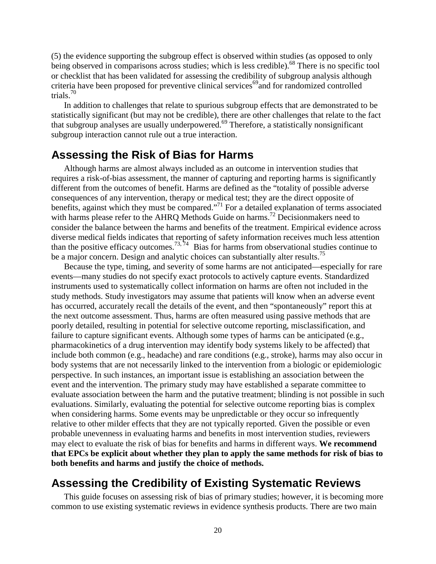(5) the evidence supporting the subgroup effect is observed within studies (as opposed to only being observed in comparisons across studies; which is less credible).<sup>68</sup> There is no specific tool or checklist that has been validated for assessing the credibility of subgroup analysis although criteria have been proposed for preventive clinical services<sup>69</sup> and for randomized controlled trials. 70

In addition to challenges that relate to spurious subgroup effects that are demonstrated to be statistically significant (but may not be credible), there are other challenges that relate to the fact that subgroup analyses are usually underpowered.69 Therefore, a statistically nonsignificant subgroup interaction cannot rule out a true interaction.

### <span id="page-26-0"></span>**Assessing the Risk of Bias for Harms**

Although harms are almost always included as an outcome in intervention studies that requires a risk-of-bias assessment, the manner of capturing and reporting harms is significantly different from the outcomes of benefit. Harms are defined as the "totality of possible adverse consequences of any intervention, therapy or medical test; they are the direct opposite of benefits, against which they must be compared."<sup>71</sup> For a detailed explanation of terms associated with harms please refer to the AHRO Methods Guide on harms.<sup>72</sup> Decisionmakers need to consider the balance between the harms and benefits of the treatment. Empirical evidence across diverse medical fields indicates that reporting of safety information receives much less attention than the positive efficacy outcomes.<sup>73, 74</sup> Bias for harms from observational studies continue to be a major concern. Design and analytic choices can substantially alter results.<sup>75</sup>

Because the type, timing, and severity of some harms are not anticipated—especially for rare events—many studies do not specify exact protocols to actively capture events. Standardized instruments used to systematically collect information on harms are often not included in the study methods. Study investigators may assume that patients will know when an adverse event has occurred, accurately recall the details of the event, and then "spontaneously" report this at the next outcome assessment. Thus, harms are often measured using passive methods that are poorly detailed, resulting in potential for selective outcome reporting, misclassification, and failure to capture significant events. Although some types of harms can be anticipated (e.g., pharmacokinetics of a drug intervention may identify body systems likely to be affected) that include both common (e.g., headache) and rare conditions (e.g., stroke), harms may also occur in body systems that are not necessarily linked to the intervention from a biologic or epidemiologic perspective. In such instances, an important issue is establishing an association between the event and the intervention. The primary study may have established a separate committee to evaluate association between the harm and the putative treatment; blinding is not possible in such evaluations. Similarly, evaluating the potential for selective outcome reporting bias is complex when considering harms. Some events may be unpredictable or they occur so infrequently relative to other milder effects that they are not typically reported. Given the possible or even probable unevenness in evaluating harms and benefits in most intervention studies, reviewers may elect to evaluate the risk of bias for benefits and harms in different ways. **We recommend that EPCs be explicit about whether they plan to apply the same methods for risk of bias to both benefits and harms and justify the choice of methods.** 

## <span id="page-26-1"></span>**Assessing the Credibility of Existing Systematic Reviews**

This guide focuses on assessing risk of bias of primary studies; however, it is becoming more common to use existing systematic reviews in evidence synthesis products. There are two main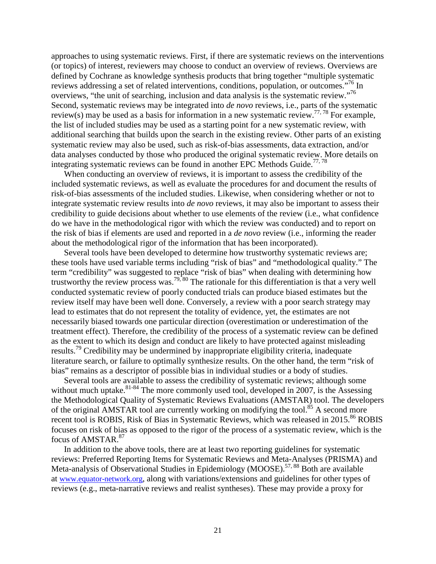approaches to using systematic reviews. First, if there are systematic reviews on the interventions (or topics) of interest, reviewers may choose to conduct an overview of reviews. Overviews are defined by Cochrane as knowledge synthesis products that bring together "multiple systematic reviews addressing a set of related interventions, conditions, population, or outcomes."<sup>76</sup> In overviews, "the unit of searching, inclusion and data analysis is the systematic review."<sup>76</sup> Second, systematic reviews may be integrated into *de novo* reviews, i.e., parts of the systematic review(s) may be used as a basis for information in a new systematic review.<sup>77, 78</sup> For example, the list of included studies may be used as a starting point for a new systematic review, with additional searching that builds upon the search in the existing review. Other parts of an existing systematic review may also be used, such as risk-of-bias assessments, data extraction, and/or data analyses conducted by those who produced the original systematic review. More details on integrating systematic reviews can be found in another EPC Methods Guide.<sup>77,78</sup>

When conducting an overview of reviews, it is important to assess the credibility of the included systematic reviews, as well as evaluate the procedures for and document the results of risk-of-bias assessments of the included studies. Likewise, when considering whether or not to integrate systematic review results into *de novo* reviews, it may also be important to assess their credibility to guide decisions about whether to use elements of the review (i.e., what confidence do we have in the methodological rigor with which the review was conducted) and to report on the risk of bias if elements are used and reported in a *de novo* review (i.e., informing the reader about the methodological rigor of the information that has been incorporated).

Several tools have been developed to determine how trustworthy systematic reviews are; these tools have used variable terms including "risk of bias" and "methodological quality." The term "credibility" was suggested to replace "risk of bias" when dealing with determining how trustworthy the review process was.<sup>79, 80</sup> The rationale for this differentiation is that a very well conducted systematic review of poorly conducted trials can produce biased estimates but the review itself may have been well done. Conversely, a review with a poor search strategy may lead to estimates that do not represent the totality of evidence, yet, the estimates are not necessarily biased towards one particular direction (overestimation or underestimation of the treatment effect). Therefore, the credibility of the process of a systematic review can be defined as the extent to which its design and conduct are likely to have protected against misleading results.<sup>79</sup> Credibility may be undermined by inappropriate eligibility criteria, inadequate literature search, or failure to optimally synthesize results. On the other hand, the term "risk of bias" remains as a descriptor of possible bias in individual studies or a body of studies.

Several tools are available to assess the credibility of systematic reviews; although some without much uptake. $81-84$  The more commonly used tool, developed in 2007, is the Assessing the Methodological Quality of Systematic Reviews Evaluations (AMSTAR) tool. The developers of the original AMSTAR tool are currently working on modifying the tool.<sup>85</sup> A second more recent tool is ROBIS, Risk of Bias in Systematic Reviews, which was released in 2015.<sup>86</sup> ROBIS focuses on risk of bias as opposed to the rigor of the process of a systematic review, which is the focus of AMSTAR.<sup>87</sup>

In addition to the above tools, there are at least two reporting guidelines for systematic reviews: Preferred Reporting Items for Systematic Reviews and Meta-Analyses (PRISMA) and Meta-analysis of Observational Studies in Epidemiology (MOOSE).<sup>57, 88</sup> Both are available at [www.equator-network.org,](http://www.equator-network.org/) along with variations/extensions and guidelines for other types of reviews (e.g., meta-narrative reviews and realist syntheses). These may provide a proxy for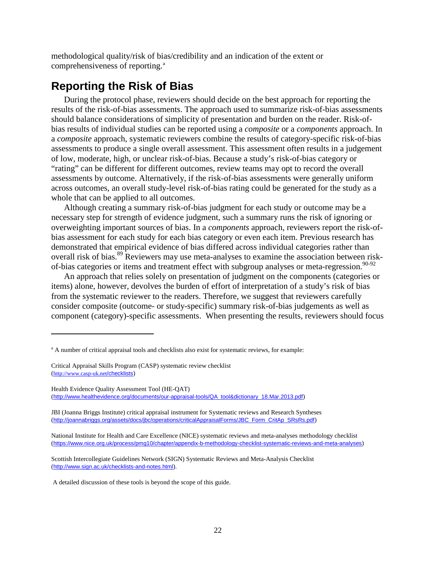methodological quality/risk of bias/credibility and an indication of the extent or comprehensiveness of reporting.<sup>[a](#page-28-1)</sup>

# <span id="page-28-0"></span>**Reporting the Risk of Bias**

During the protocol phase, reviewers should decide on the best approach for reporting the results of the risk-of-bias assessments. The approach used to summarize risk-of-bias assessments should balance considerations of simplicity of presentation and burden on the reader. Risk-ofbias results of individual studies can be reported using a *composite* or a *components* approach. In a *composite* approach, systematic reviewers combine the results of category-specific risk-of-bias assessments to produce a single overall assessment. This assessment often results in a judgement of low, moderate, high, or unclear risk-of-bias. Because a study's risk-of-bias category or "rating" can be different for different outcomes, review teams may opt to record the overall assessments by outcome. Alternatively, if the risk-of-bias assessments were generally uniform across outcomes, an overall study-level risk-of-bias rating could be generated for the study as a whole that can be applied to all outcomes.

Although creating a summary risk-of-bias judgment for each study or outcome may be a necessary step for strength of evidence judgment, such a summary runs the risk of ignoring or overweighting important sources of bias. In a *components* approach, reviewers report the risk-ofbias assessment for each study for each bias category or even each item. Previous research has demonstrated that empirical evidence of bias differed across individual categories rather than overall risk of bias.<sup>89</sup> Reviewers may use meta-analyses to examine the association between riskof-bias categories or items and treatment effect with subgroup analyses or meta-regression.<sup>90-92</sup>

An approach that relies solely on presentation of judgment on the components (categories or items) alone, however, devolves the burden of effort of interpretation of a study's risk of bias from the systematic reviewer to the readers. Therefore, we suggest that reviewers carefully consider composite (outcome- or study-specific) summary risk-of-bias judgements as well as component (category)-specific assessments. When presenting the results, reviewers should focus

l

JBI (Joanna Briggs Institute) critical appraisal instrument for Systematic reviews and Research Syntheses ([http://joannabriggs.org/assets/docs/jbc/operations/criticalAppraisalForms/JBC\\_Form\\_CritAp\\_SRsRs.pdf](http://joannabriggs.org/assets/docs/jbc/operations/criticalAppraisalForms/JBC_Form_CritAp_SRsRs.pdf))

National Institute for Health and Care Excellence (NICE) systematic reviews and meta-analyses methodology checklist (<https://www.nice.org.uk/process/pmg10/chapter/appendix-b-methodology-checklist-systematic-reviews-and-meta-analyses>)

Scottish Intercollegiate Guidelines Network (SIGN) Systematic Reviews and Meta-Analysis Checklist (http://www.sign.ac.uk/checklists-and-notes.html).

A detailed discussion of these tools is beyond the scope of this guide.

<span id="page-28-1"></span><sup>&</sup>lt;sup>a</sup> A number of critical appraisal tools and checklists also exist for systematic reviews, for example:

Critical Appraisal Skills Program (CASP) systematic review checklist [\(http://www.casp-uk.net](http://www.casp-uk.net/checklists)/checklists)

Health Evidence Quality Assessment Tool (HE-QAT) ([http://www.healthevidence.org/documents/our-appraisal-tools/QA\\_tool&dictionary\\_18.Mar.2013.pdf](http://www.healthevidence.org/documents/our-appraisal-tools/QA_tool&dictionary_18.Mar.2013.pdf))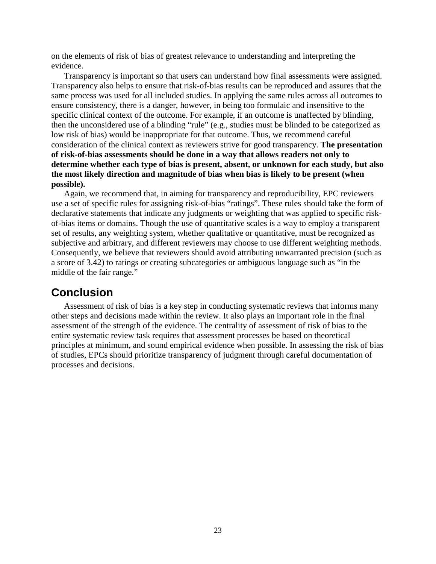on the elements of risk of bias of greatest relevance to understanding and interpreting the evidence.

Transparency is important so that users can understand how final assessments were assigned. Transparency also helps to ensure that risk-of-bias results can be reproduced and assures that the same process was used for all included studies. In applying the same rules across all outcomes to ensure consistency, there is a danger, however, in being too formulaic and insensitive to the specific clinical context of the outcome. For example, if an outcome is unaffected by blinding, then the unconsidered use of a blinding "rule" (e.g., studies must be blinded to be categorized as low risk of bias) would be inappropriate for that outcome. Thus, we recommend careful consideration of the clinical context as reviewers strive for good transparency. **The presentation of risk-of-bias assessments should be done in a way that allows readers not only to determine whether each type of bias is present, absent, or unknown for each study, but also the most likely direction and magnitude of bias when bias is likely to be present (when possible).**

Again, we recommend that, in aiming for transparency and reproducibility, EPC reviewers use a set of specific rules for assigning risk-of-bias "ratings". These rules should take the form of declarative statements that indicate any judgments or weighting that was applied to specific riskof-bias items or domains. Though the use of quantitative scales is a way to employ a transparent set of results, any weighting system, whether qualitative or quantitative, must be recognized as subjective and arbitrary, and different reviewers may choose to use different weighting methods. Consequently, we believe that reviewers should avoid attributing unwarranted precision (such as a score of 3.42) to ratings or creating subcategories or ambiguous language such as "in the middle of the fair range."

## <span id="page-29-0"></span>**Conclusion**

Assessment of risk of bias is a key step in conducting systematic reviews that informs many other steps and decisions made within the review. It also plays an important role in the final assessment of the strength of the evidence. The centrality of assessment of risk of bias to the entire systematic review task requires that assessment processes be based on theoretical principles at minimum, and sound empirical evidence when possible. In assessing the risk of bias of studies, EPCs should prioritize transparency of judgment through careful documentation of processes and decisions.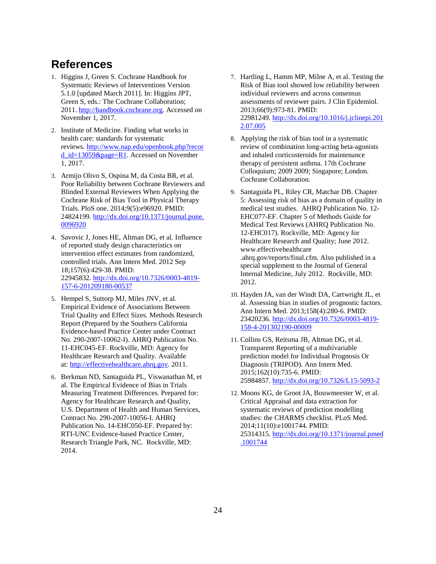## <span id="page-30-0"></span>**References**

- 1. Higgins J, Green S. Cochrane Handbook for Systematic Reviews of Interventions Version 5.1.0 [updated March 2011]. In: Higgins JPT, Green S, eds.: The Cochrane Collaboration; 2011[. http://handbook.cochrane.org.](http://handbook.cochrane.org/) Accessed on November 1, 2017.
- 2. Institute of Medicine. Finding what works in health care: standards for systematic reviews. [http://www.nap.edu/openbook.php?recor](http://www.nap.edu/openbook.php?record_id=13059&page=R1) [d\\_id=13059&page=R1.](http://www.nap.edu/openbook.php?record_id=13059&page=R1) Accessed on November 1, 2017.
- 3. Armijo Olivo S, Ospina M, da Costa BR, et al. Poor Reliability between Cochrane Reviewers and Blinded External Reviewers When Applying the Cochrane Risk of Bias Tool in Physical Therapy Trials. PloS one. 2014;9(5):e96920. PMID: 24824199[. http://dx.doi.org/10.1371/journal.pone.](http://dx.doi.org/10.1371/journal.pone.0096920) [0096920](http://dx.doi.org/10.1371/journal.pone.0096920)
- 4. Savovic J, Jones HE, Altman DG, et al. Influence of reported study design characteristics on intervention effect estimates from randomized, controlled trials. Ann Intern Med. 2012 Sep 18;157(6):429-38. PMID: 22945832[. http://dx.doi.org/10.7326/0003-4819-](http://dx.doi.org/10.7326/0003-4819-157-6-201209180-00537) [157-6-201209180-00537](http://dx.doi.org/10.7326/0003-4819-157-6-201209180-00537)
- 5. Hempel S, Suttorp MJ, Miles JNV, et al. Empirical Evidence of Associations Between Trial Quality and Effect Sizes. Methods Research Report (Prepared by the Southern California Evidence-based Practice Center under Contract No. 290-2007-10062-I). AHRQ Publication No. 11-EHC045-EF. Rockville, MD: Agency for Healthcare Research and Quality. Available at: [http://effectivehealthcare.ahrq.gov.](http://effectivehealthcare.ahrq.gov/) 2011.
- 6. Berkman ND, Santaguida PL, Viswanathan M, et al. The Empirical Evidence of Bias in Trials Measuring Treatment Differences. Prepared for: Agency for Healthcare Research and Quality, U.S. Department of Health and Human Services, Contract No. 290-2007-10056-I. AHRQ Publication No. 14-EHC050-EF. Prepared by: RTI-UNC Evidence-based Practice Center, Research Triangle Park, NC. Rockville, MD: 2014.
- 7. Hartling L, Hamm MP, Milne A, et al. Testing the Risk of Bias tool showed low reliability between individual reviewers and across consensus assessments of reviewer pairs. J Clin Epidemiol. 2013;66(9):973-81. PMID: 22981249[. http://dx.doi.org/10.1016/j.jclinepi.201](http://dx.doi.org/10.1016/j.jclinepi.2012.07.005) [2.07.005](http://dx.doi.org/10.1016/j.jclinepi.2012.07.005)
- 8. Applying the risk of bias tool in a systematic review of combination long-acting beta-agonists and inhaled corticosteroids for maintenance therapy of persistent asthma. 17th Cochrane Colloquium; 2009 2009; Singapore; London. Cochrane Collaboration.
- 9. Santaguida PL, Riley CR, Matchar DB. Chapter 5: Assessing risk of bias as a domain of quality in medical test studies. AHRQ Publication No. 12- EHC077-EF. Chapter 5 of Methods Guide for Medical Test Reviews (AHRQ Publication No. 12-EHC017). Rockville, MD: Agency for Healthcare Research and Quality; June 2012. www.effectivehealthcare .ahrq.gov/reports/final.cfm. Also published in a special supplement to the Journal of General Internal Medicine, July 2012. Rockville, MD: 2012.
- 10. Hayden JA, van der Windt DA, Cartwright JL, et al. Assessing bias in studies of prognostic factors. Ann Intern Med. 2013;158(4):280-6. PMID: 23420236[. http://dx.doi.org/10.7326/0003-4819-](http://dx.doi.org/10.7326/0003-4819-158-4-201302190-00009) [158-4-201302190-00009](http://dx.doi.org/10.7326/0003-4819-158-4-201302190-00009)
- 11. Collins GS, Reitsma JB, Altman DG, et al. Transparent Reporting of a multivariable prediction model for Individual Prognosis Or Diagnosis (TRIPOD). Ann Intern Med. 2015;162(10):735-6. PMID: 25984857[. http://dx.doi.org/10.7326/L15-5093-2](http://dx.doi.org/10.7326/L15-5093-2)
- 12. Moons KG, de Groot JA, Bouwmeester W, et al. Critical Appraisal and data extraction for systematic reviews of prediction modelling studies: the CHARMS checklist. PLoS Med. 2014;11(10):e1001744. PMID: 25314315[. http://dx.doi.org/10.1371/journal.pmed](http://dx.doi.org/10.1371/journal.pmed.1001744) [.1001744](http://dx.doi.org/10.1371/journal.pmed.1001744)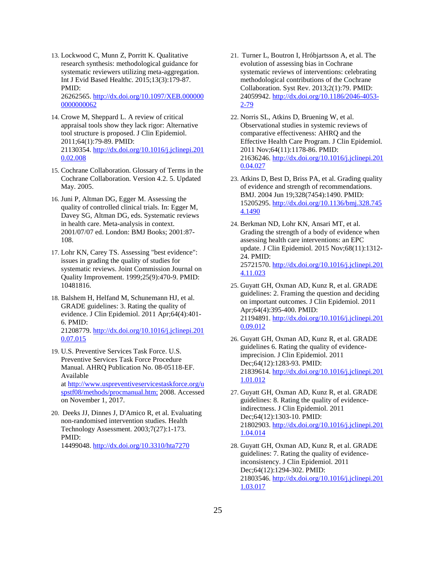- 13. Lockwood C, Munn Z, Porritt K. Qualitative research synthesis: methodological guidance for systematic reviewers utilizing meta-aggregation. Int J Evid Based Healthc. 2015;13(3):179-87. PMID: 26262565[. http://dx.doi.org/10.1097/XEB.000000](http://dx.doi.org/10.1097/XEB.0000000000000062) [0000000062](http://dx.doi.org/10.1097/XEB.0000000000000062)
- 14. Crowe M, Sheppard L. A review of critical appraisal tools show they lack rigor: Alternative tool structure is proposed. J Clin Epidemiol. 2011;64(1):79-89. PMID: 21130354[. http://dx.doi.org/10.1016/j.jclinepi.201](http://dx.doi.org/10.1016/j.jclinepi.2010.02.008) [0.02.008](http://dx.doi.org/10.1016/j.jclinepi.2010.02.008)
- 15. Cochrane Collaboration. Glossary of Terms in the Cochrane Collaboration. Version 4.2. 5. Updated May. 2005.
- 16. Juni P, Altman DG, Egger M. Assessing the quality of controlled clinical trials. In: Egger M, Davey SG, Altman DG, eds. Systematic reviews in health care. Meta-analysis in context. 2001/07/07 ed. London: BMJ Books; 2001:87- 108.
- 17. Lohr KN, Carey TS. Assessing "best evidence": issues in grading the quality of studies for systematic reviews. Joint Commission Journal on Quality Improvement. 1999;25(9):470-9. PMID: 10481816.
- 18. Balshem H, Helfand M, Schunemann HJ, et al. GRADE guidelines: 3. Rating the quality of evidence. J Clin Epidemiol. 2011 Apr;64(4):401- 6. PMID: 21208779[. http://dx.doi.org/10.1016/j.jclinepi.201](http://dx.doi.org/10.1016/j.jclinepi.2010.07.015) [0.07.015](http://dx.doi.org/10.1016/j.jclinepi.2010.07.015)
- 19. U.S. Preventive Services Task Force. U.S. Preventive Services Task Force Procedure Manual. AHRQ Publication No. 08-05118-EF. Available at [http://www.uspreventiveservicestaskforce.org/u](http://www.uspreventiveservicestaskforce.org/uspstf08/methods/procmanual.htm;) [spstf08/methods/procmanual.htm;](http://www.uspreventiveservicestaskforce.org/uspstf08/methods/procmanual.htm;) 2008. Accessed on November 1, 2017.
- 20. Deeks JJ, Dinnes J, D'Amico R, et al. Evaluating non-randomised intervention studies. Health Technology Assessment. 2003;7(27):1-173. PMID: 14499048[. http://dx.doi.org/10.3310/hta7270](http://dx.doi.org/10.3310/hta7270)
- 21. Turner L, Boutron I, Hróbjartsson A, et al. The evolution of assessing bias in Cochrane systematic reviews of interventions: celebrating methodological contributions of the Cochrane Collaboration. Syst Rev. 2013;2(1):79. PMID: 24059942[. http://dx.doi.org/10.1186/2046-4053-](http://dx.doi.org/10.1186/2046-4053-2-79) [2-79](http://dx.doi.org/10.1186/2046-4053-2-79)
- 22. Norris SL, Atkins D, Bruening W, et al. Observational studies in systemic reviews of comparative effectiveness: AHRQ and the Effective Health Care Program. J Clin Epidemiol. 2011 Nov;64(11):1178-86. PMID: 21636246[. http://dx.doi.org/10.1016/j.jclinepi.201](http://dx.doi.org/10.1016/j.jclinepi.2010.04.027) [0.04.027](http://dx.doi.org/10.1016/j.jclinepi.2010.04.027)
- 23. Atkins D, Best D, Briss PA, et al. Grading quality of evidence and strength of recommendations. BMJ. 2004 Jun 19;328(7454):1490. PMID: 15205295[. http://dx.doi.org/10.1136/bmj.328.745](http://dx.doi.org/10.1136/bmj.328.7454.1490) [4.1490](http://dx.doi.org/10.1136/bmj.328.7454.1490)
- 24. Berkman ND, Lohr KN, Ansari MT, et al. Grading the strength of a body of evidence when assessing health care interventions: an EPC update. J Clin Epidemiol. 2015 Nov;68(11):1312- 24. PMID: 25721570[. http://dx.doi.org/10.1016/j.jclinepi.201](http://dx.doi.org/10.1016/j.jclinepi.2014.11.023) [4.11.023](http://dx.doi.org/10.1016/j.jclinepi.2014.11.023)
- 25. Guyatt GH, Oxman AD, Kunz R, et al. GRADE guidelines: 2. Framing the question and deciding on important outcomes. J Clin Epidemiol. 2011 Apr;64(4):395-400. PMID: 21194891[. http://dx.doi.org/10.1016/j.jclinepi.201](http://dx.doi.org/10.1016/j.jclinepi.2010.09.012) [0.09.012](http://dx.doi.org/10.1016/j.jclinepi.2010.09.012)
- 26. Guyatt GH, Oxman AD, Kunz R, et al. GRADE guidelines 6. Rating the quality of evidenceimprecision. J Clin Epidemiol. 2011 Dec;64(12):1283-93. PMID: 21839614[. http://dx.doi.org/10.1016/j.jclinepi.201](http://dx.doi.org/10.1016/j.jclinepi.2011.01.012) [1.01.012](http://dx.doi.org/10.1016/j.jclinepi.2011.01.012)
- 27. Guyatt GH, Oxman AD, Kunz R, et al. GRADE guidelines: 8. Rating the quality of evidenceindirectness. J Clin Epidemiol. 2011 Dec;64(12):1303-10. PMID: 21802903[. http://dx.doi.org/10.1016/j.jclinepi.201](http://dx.doi.org/10.1016/j.jclinepi.2011.04.014) [1.04.014](http://dx.doi.org/10.1016/j.jclinepi.2011.04.014)
- 28. Guyatt GH, Oxman AD, Kunz R, et al. GRADE guidelines: 7. Rating the quality of evidenceinconsistency. J Clin Epidemiol. 2011 Dec;64(12):1294-302. PMID: 21803546[. http://dx.doi.org/10.1016/j.jclinepi.201](http://dx.doi.org/10.1016/j.jclinepi.2011.03.017) [1.03.017](http://dx.doi.org/10.1016/j.jclinepi.2011.03.017)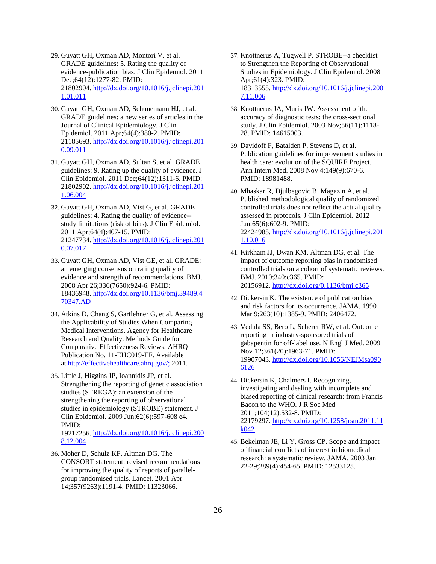- 29. Guyatt GH, Oxman AD, Montori V, et al. GRADE guidelines: 5. Rating the quality of evidence-publication bias. J Clin Epidemiol. 2011 Dec;64(12):1277-82. PMID: 21802904[. http://dx.doi.org/10.1016/j.jclinepi.201](http://dx.doi.org/10.1016/j.jclinepi.2011.01.011) [1.01.011](http://dx.doi.org/10.1016/j.jclinepi.2011.01.011)
- 30. Guyatt GH, Oxman AD, Schunemann HJ, et al. GRADE guidelines: a new series of articles in the Journal of Clinical Epidemiology. J Clin Epidemiol. 2011 Apr;64(4):380-2. PMID: 21185693[. http://dx.doi.org/10.1016/j.jclinepi.201](http://dx.doi.org/10.1016/j.jclinepi.2010.09.011) [0.09.011](http://dx.doi.org/10.1016/j.jclinepi.2010.09.011)
- 31. Guyatt GH, Oxman AD, Sultan S, et al. GRADE guidelines: 9. Rating up the quality of evidence. J Clin Epidemiol. 2011 Dec;64(12):1311-6. PMID: 21802902[. http://dx.doi.org/10.1016/j.jclinepi.201](http://dx.doi.org/10.1016/j.jclinepi.2011.06.004) [1.06.004](http://dx.doi.org/10.1016/j.jclinepi.2011.06.004)
- 32. Guyatt GH, Oxman AD, Vist G, et al. GRADE guidelines: 4. Rating the quality of evidence- study limitations (risk of bias). J Clin Epidemiol. 2011 Apr;64(4):407-15. PMID: 21247734[. http://dx.doi.org/10.1016/j.jclinepi.201](http://dx.doi.org/10.1016/j.jclinepi.2010.07.017) [0.07.017](http://dx.doi.org/10.1016/j.jclinepi.2010.07.017)
- 33. Guyatt GH, Oxman AD, Vist GE, et al. GRADE: an emerging consensus on rating quality of evidence and strength of recommendations. BMJ. 2008 Apr 26;336(7650):924-6. PMID: 18436948[. http://dx.doi.org/10.1136/bmj.39489.4](http://dx.doi.org/10.1136/bmj.39489.470347.AD) [70347.AD](http://dx.doi.org/10.1136/bmj.39489.470347.AD)
- 34. Atkins D, Chang S, Gartlehner G, et al. Assessing the Applicability of Studies When Comparing Medical Interventions. Agency for Healthcare Research and Quality. Methods Guide for Comparative Effectiveness Reviews. AHRQ Publication No. 11-EHC019-EF. Available at<http://effectivehealthcare.ahrq.gov/;> 2011.
- 35. Little J, Higgins JP, Ioannidis JP, et al. Strengthening the reporting of genetic association studies (STREGA): an extension of the strengthening the reporting of observational studies in epidemiology (STROBE) statement. J Clin Epidemiol. 2009 Jun;62(6):597-608 e4. PMID: 19217256[. http://dx.doi.org/10.1016/j.jclinepi.200](http://dx.doi.org/10.1016/j.jclinepi.2008.12.004) [8.12.004](http://dx.doi.org/10.1016/j.jclinepi.2008.12.004)
- 36. Moher D, Schulz KF, Altman DG. The CONSORT statement: revised recommendations for improving the quality of reports of parallelgroup randomised trials. Lancet. 2001 Apr 14;357(9263):1191-4. PMID: 11323066.
- 37. Knottnerus A, Tugwell P. STROBE--a checklist to Strengthen the Reporting of Observational Studies in Epidemiology. J Clin Epidemiol. 2008 Apr;61(4):323. PMID: 18313555[. http://dx.doi.org/10.1016/j.jclinepi.200](http://dx.doi.org/10.1016/j.jclinepi.2007.11.006) [7.11.006](http://dx.doi.org/10.1016/j.jclinepi.2007.11.006)
- 38. Knottnerus JA, Muris JW. Assessment of the accuracy of diagnostic tests: the cross-sectional study. J Clin Epidemiol. 2003 Nov;56(11):1118- 28. PMID: 14615003.
- 39. Davidoff F, Batalden P, Stevens D, et al. Publication guidelines for improvement studies in health care: evolution of the SQUIRE Project. Ann Intern Med. 2008 Nov 4;149(9):670-6. PMID: 18981488.
- 40. Mhaskar R, Djulbegovic B, Magazin A, et al. Published methodological quality of randomized controlled trials does not reflect the actual quality assessed in protocols. J Clin Epidemiol. 2012 Jun;65(6):602-9. PMID: 22424985[. http://dx.doi.org/10.1016/j.jclinepi.201](http://dx.doi.org/10.1016/j.jclinepi.2011.10.016) [1.10.016](http://dx.doi.org/10.1016/j.jclinepi.2011.10.016)
- 41. Kirkham JJ, Dwan KM, Altman DG, et al. The impact of outcome reporting bias in randomised controlled trials on a cohort of systematic reviews. BMJ. 2010;340:c365. PMID: 20156912[. http://dx.doi.org/0.1136/bmj.c365](http://dx.doi.org/0.1136/bmj.c365)
- 42. Dickersin K. The existence of publication bias and risk factors for its occurrence. JAMA. 1990 Mar 9;263(10):1385-9. PMID: 2406472.
- 43. Vedula SS, Bero L, Scherer RW, et al. Outcome reporting in industry-sponsored trials of gabapentin for off-label use. N Engl J Med. 2009 Nov 12;361(20):1963-71. PMID: 19907043[. http://dx.doi.org/10.1056/NEJMsa090](http://dx.doi.org/10.1056/NEJMsa0906126) [6126](http://dx.doi.org/10.1056/NEJMsa0906126)
- 44. Dickersin K, Chalmers I. Recognizing, investigating and dealing with incomplete and biased reporting of clinical research: from Francis Bacon to the WHO. J R Soc Med 2011;104(12):532-8. PMID: 22179297[. http://dx.doi.org/10.1258/jrsm.2011.11](http://dx.doi.org/10.1258/jrsm.2011.11k042) [k042](http://dx.doi.org/10.1258/jrsm.2011.11k042)
- 45. Bekelman JE, Li Y, Gross CP. Scope and impact of financial conflicts of interest in biomedical research: a systematic review. JAMA. 2003 Jan 22-29;289(4):454-65. PMID: 12533125.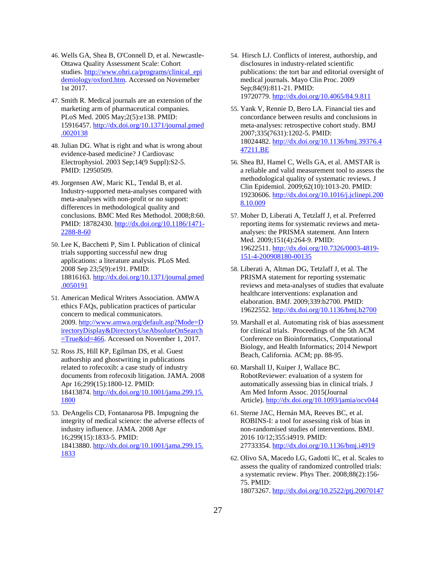- 46. Wells GA, Shea B, O'Connell D, et al. Newcastle-Ottawa Quality Assessment Scale: Cohort studies. [http://www.ohri.ca/programs/clinical\\_epi](http://www.ohri.ca/programs/clinical_epidemiology/oxford.htm) [demiology/oxford.htm.](http://www.ohri.ca/programs/clinical_epidemiology/oxford.htm) Accessed on Novemeber 1st 2017.
- 47. Smith R. Medical journals are an extension of the marketing arm of pharmaceutical companies. PLoS Med. 2005 May;2(5):e138. PMID: 15916457[. http://dx.doi.org/10.1371/journal.pmed](http://dx.doi.org/10.1371/journal.pmed.0020138) [.0020138](http://dx.doi.org/10.1371/journal.pmed.0020138)
- 48. Julian DG. What is right and what is wrong about evidence-based medicine? J Cardiovasc Electrophysiol. 2003 Sep;14(9 Suppl):S2-5. PMID: 12950509.
- 49. Jorgensen AW, Maric KL, Tendal B, et al. Industry-supported meta-analyses compared with meta-analyses with non-profit or no support: differences in methodological quality and conclusions. BMC Med Res Methodol. 2008;8:60. PMID: 18782430. [http://dx.doi.org/10.1186/1471-](http://dx.doi.org/10.1186/1471-2288-8-60) [2288-8-60](http://dx.doi.org/10.1186/1471-2288-8-60)
- 50. Lee K, Bacchetti P, Sim I. Publication of clinical trials supporting successful new drug applications: a literature analysis. PLoS Med. 2008 Sep 23;5(9):e191. PMID: 18816163[. http://dx.doi.org/10.1371/journal.pmed](http://dx.doi.org/10.1371/journal.pmed.0050191) [.0050191](http://dx.doi.org/10.1371/journal.pmed.0050191)
- 51. American Medical Writers Association. AMWA ethics FAQs, publication practices of particular concern to medical communicators. 2009[. http://www.amwa.org/default.asp?Mode=D](http://www.amwa.org/default.asp?Mode=DirectoryDisplay&DirectoryUseAbsoluteOnSearch=True&id=466) [irectoryDisplay&DirectoryUseAbsoluteOnSearch](http://www.amwa.org/default.asp?Mode=DirectoryDisplay&DirectoryUseAbsoluteOnSearch=True&id=466) [=True&id=466.](http://www.amwa.org/default.asp?Mode=DirectoryDisplay&DirectoryUseAbsoluteOnSearch=True&id=466) Accessed on November 1, 2017.
- 52. Ross JS, Hill KP, Egilman DS, et al. Guest authorship and ghostwriting in publications related to rofecoxib: a case study of industry documents from rofecoxib litigation. JAMA. 2008 Apr 16;299(15):1800-12. PMID: 18413874[. http://dx.doi.org/10.1001/jama.299.15.](http://dx.doi.org/10.1001/jama.299.15.1800) [1800](http://dx.doi.org/10.1001/jama.299.15.1800)
- 53. DeAngelis CD, Fontanarosa PB. Impugning the integrity of medical science: the adverse effects of industry influence. JAMA. 2008 Apr 16;299(15):1833-5. PMID: 18413880[. http://dx.doi.org/10.1001/jama.299.15.](http://dx.doi.org/10.1001/jama.299.15.1833) [1833](http://dx.doi.org/10.1001/jama.299.15.1833)
- 54. Hirsch LJ. Conflicts of interest, authorship, and disclosures in industry-related scientific publications: the tort bar and editorial oversight of medical journals. Mayo Clin Proc. 2009 Sep;84(9):811-21. PMID: 19720779[. http://dx.doi.org/10.4065/84.9.811](http://dx.doi.org/10.4065/84.9.811)
- 55. Yank V, Rennie D, Bero LA. Financial ties and concordance between results and conclusions in meta-analyses: retrospective cohort study. BMJ 2007;335(7631):1202-5. PMID: 18024482[. http://dx.doi.org/10.1136/bmj.39376.4](http://dx.doi.org/10.1136/bmj.39376.447211.BE) [47211.BE](http://dx.doi.org/10.1136/bmj.39376.447211.BE)
- 56. Shea BJ, Hamel C, Wells GA, et al. AMSTAR is a reliable and valid measurement tool to assess the methodological quality of systematic reviews. J Clin Epidemiol. 2009;62(10):1013-20. PMID: 19230606[. http://dx.doi.org/10.1016/j.jclinepi.200](http://dx.doi.org/10.1016/j.jclinepi.2008.10.009) [8.10.009](http://dx.doi.org/10.1016/j.jclinepi.2008.10.009)
- 57. Moher D, Liberati A, Tetzlaff J, et al. Preferred reporting items for systematic reviews and metaanalyses: the PRISMA statement. Ann Intern Med. 2009;151(4):264-9. PMID: 19622511[. http://dx.doi.org/10.7326/0003-4819-](http://dx.doi.org/10.7326/0003-4819-151-4-200908180-00135) [151-4-200908180-00135](http://dx.doi.org/10.7326/0003-4819-151-4-200908180-00135)
- 58. Liberati A, Altman DG, Tetzlaff J, et al. The PRISMA statement for reporting systematic reviews and meta-analyses of studies that evaluate healthcare interventions: explanation and elaboration. BMJ. 2009;339:b2700. PMID: 19622552[. http://dx.doi.org/10.1136/bmj.b2700](http://dx.doi.org/10.1136/bmj.b2700)
- 59. Marshall et al. Automating risk of bias assessment for clinical trials. Proceedings of the 5th ACM Conference on Bioinformatics, Computational Biology, and Health Informatics; 2014 Newport Beach, California. ACM; pp. 88-95.
- 60. Marshall IJ, Kuiper J, Wallace BC. RobotReviewer: evaluation of a system for automatically assessing bias in clinical trials. J Am Med Inform Assoc. 2015(Journal Article).<http://dx.doi.org/10.1093/jamia/ocv044>
- 61. Sterne JAC, Hernán MA, Reeves BC, et al. ROBINS-I: a tool for assessing risk of bias in non-randomised studies of interventions. BMJ. 2016 10/12;355:i4919. PMID: 27733354[. http://dx.doi.org/10.1136/bmj.i4919](http://dx.doi.org/10.1136/bmj.i4919)
- 62. Olivo SA, Macedo LG, Gadotti IC, et al. Scales to assess the quality of randomized controlled trials: a systematic review. Phys Ther. 2008;88(2):156- 75. PMID: 18073267[. http://dx.doi.org/10.2522/ptj.20070147](http://dx.doi.org/10.2522/ptj.20070147)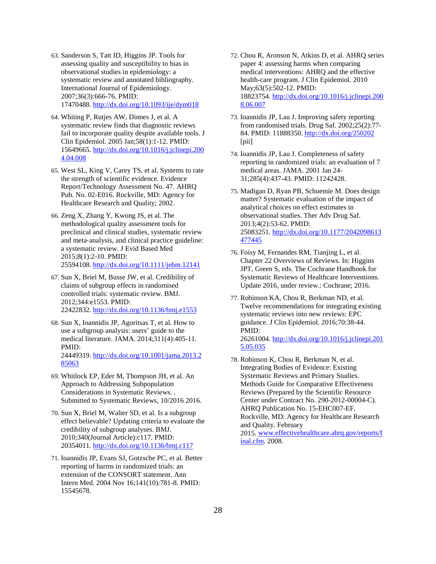- 63. Sanderson S, Tatt ID, Higgins JP. Tools for assessing quality and susceptibility to bias in observational studies in epidemiology: a systematic review and annotated bibliography. International Journal of Epidemiology. 2007;36(3):666-76. PMID: 17470488[. http://dx.doi.org/10.1093/ije/dym018](http://dx.doi.org/10.1093/ije/dym018)
- 64. Whiting P, Rutjes AW, Dinnes J, et al. A systematic review finds that diagnostic reviews fail to incorporate quality despite available tools. J Clin Epidemiol. 2005 Jan;58(1):1-12. PMID: 15649665[. http://dx.doi.org/10.1016/j.jclinepi.200](http://dx.doi.org/10.1016/j.jclinepi.2004.04.008) [4.04.008](http://dx.doi.org/10.1016/j.jclinepi.2004.04.008)
- 65. West SL, King V, Carey TS, et al. Systems to rate the strength of scientific evidence. Evidence Report/Technology Assessment No. 47. AHRQ Pub. No. 02-E016. Rockville, MD: Agency for Healthcare Research and Quality; 2002.
- 66. Zeng X, Zhang Y, Kwong JS, et al. The methodological quality assessment tools for preclinical and clinical studies, systematic review and meta‐analysis, and clinical practice guideline: a systematic review. J Evid Based Med 2015;8(1):2-10. PMID: 25594108[. http://dx.doi.org/10.1111/jebm.12141](http://dx.doi.org/10.1111/jebm.12141)
- 67. Sun X, Briel M, Busse JW, et al. Credibility of claims of subgroup effects in randomised controlled trials: systematic review. BMJ. 2012;344:e1553. PMID: 22422832[. http://dx.doi.org/10.1136/bmj.e1553](http://dx.doi.org/10.1136/bmj.e1553)
- 68. Sun X, Ioannidis JP, Agoritsas T, et al. How to use a subgroup analysis: users' guide to the medical literature. JAMA. 2014;311(4):405-11. PMID: 24449319[. http://dx.doi.org/10.1001/jama.2013.2](http://dx.doi.org/10.1001/jama.2013.285063) [85063](http://dx.doi.org/10.1001/jama.2013.285063)
- 69. Whitlock EP, Eder M, Thompson JH, et al. An Approach to Addressing Subpopulation Considerations in Systematic Reviews. . Submitted to Systematic Reviews, 10/2016 2016.
- 70. Sun X, Briel M, Walter SD, et al. Is a subgroup effect believable? Updating criteria to evaluate the credibility of subgroup analyses. BMJ. 2010;340(Journal Article):c117. PMID: 20354011[. http://dx.doi.org/10.1136/bmj.c117](http://dx.doi.org/10.1136/bmj.c117)
- 71. Ioannidis JP, Evans SJ, Gotzsche PC, et al. Better reporting of harms in randomized trials: an extension of the CONSORT statement. Ann Intern Med. 2004 Nov 16;141(10):781-8. PMID: 15545678.
- 72. Chou R, Aronson N, Atkins D, et al. AHRQ series paper 4: assessing harms when comparing medical interventions: AHRQ and the effective health-care program. J Clin Epidemiol. 2010 May;63(5):502-12. PMID: 18823754[. http://dx.doi.org/10.1016/j.jclinepi.200](http://dx.doi.org/10.1016/j.jclinepi.2008.06.007) [8.06.007](http://dx.doi.org/10.1016/j.jclinepi.2008.06.007)
- 73. Ioannidis JP, Lau J. Improving safety reporting from randomised trials. Drug Saf. 2002;25(2):77- 84. PMID: 11888350.<http://dx.doi.org/250202> [pii]
- 74. Ioannidis JP, Lau J. Completeness of safety reporting in randomized trials: an evaluation of 7 medical areas. JAMA. 2001 Jan 24- 31;285(4):437-43. PMID: 11242428.
- 75. Madigan D, Ryan PB, Schuemie M. Does design matter? Systematic evaluation of the impact of analytical choices on effect estimates in observational studies. Ther Adv Drug Saf. 2013;4(2):53-62. PMID: 25083251[. http://dx.doi.org/10.1177/2042098613](http://dx.doi.org/10.1177/2042098613477445) [477445](http://dx.doi.org/10.1177/2042098613477445)
- 76. Foisy M, Fernandes RM, Tianjing L, et al. Chapter 22 Overviews of Reviews. In: Higgins JPT, Green S, eds. The Cochrane Handbook for Systematic Reviews of Healthcare Interventions. Update 2016, under review.: Cochrane; 2016.
- 77. Robinson KA, Chou R, Berkman ND, et al. Twelve recommendations for integrating existing systematic reviews into new reviews: EPC guidance. J Clin Epidemiol. 2016;70:38-44. PMID: 26261004[. http://dx.doi.org/10.1016/j.jclinepi.201](http://dx.doi.org/10.1016/j.jclinepi.2015.05.035) [5.05.035](http://dx.doi.org/10.1016/j.jclinepi.2015.05.035)
- 78. Robinson K, Chou R, Berkman N, et al. Integrating Bodies of Evidence: Existing Systematic Reviews and Primary Studies. Methods Guide for Comparative Effectiveness Reviews (Prepared by the Scientific Resource Center under Contract No. 290-2012-00004-C). AHRQ Publication No. 15-EHC007-EF. Rockville, MD: Agency for Healthcare Research and Quality. February 2015[. www.effectivehealthcare.ahrq.gov/reports/f](http://www.effectivehealthcare.ahrq.gov/reports/final.cfm) [inal.cfm.](http://www.effectivehealthcare.ahrq.gov/reports/final.cfm) 2008.